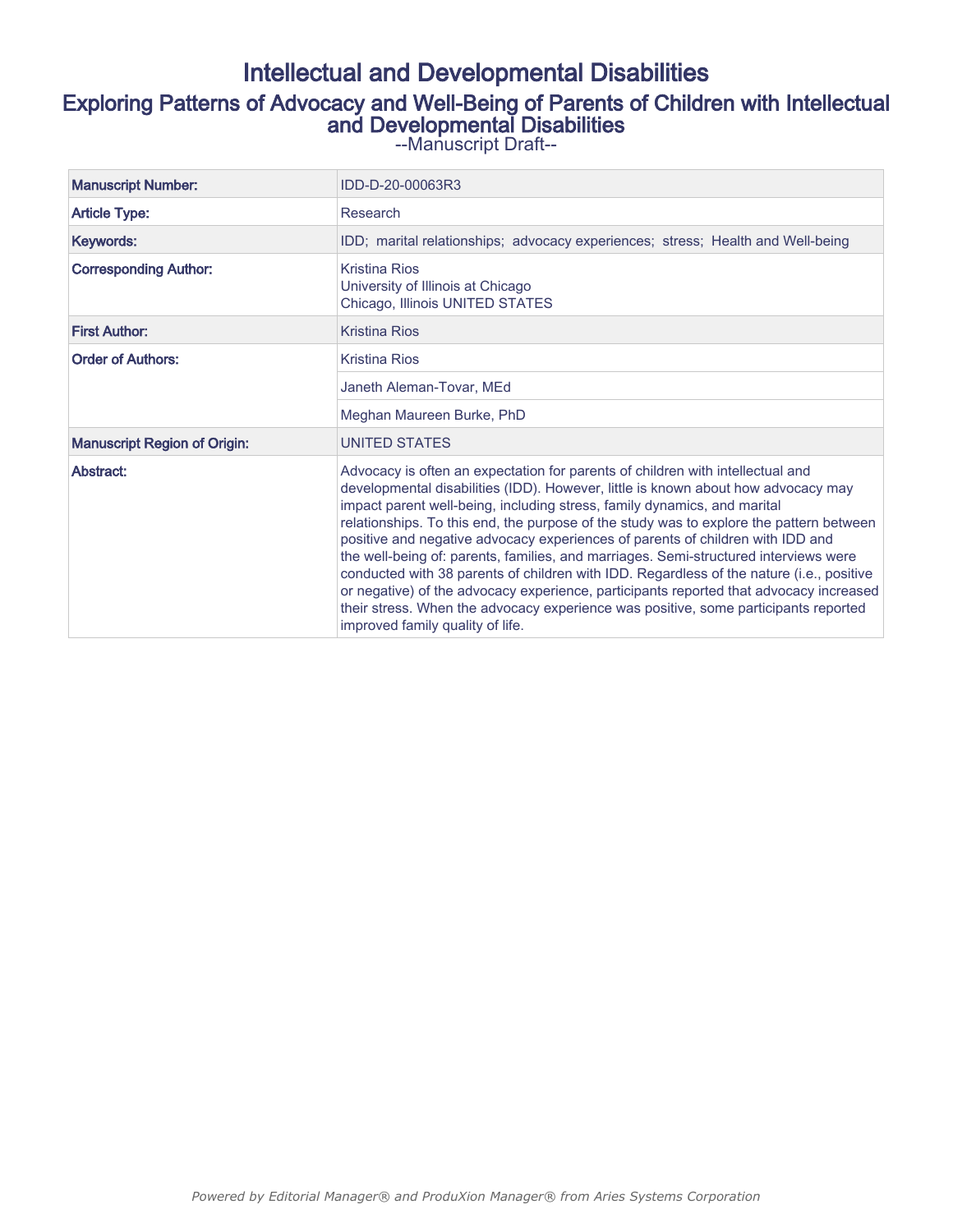# Intellectual and Developmental Disabilities Exploring Patterns of Advocacy and Well-Being of Parents of Children with Intellectual and Developmental Disabilities

--Manuscript Draft--

| <b>Manuscript Number:</b>           | IDD-D-20-00063R3                                                                                                                                                                                                                                                                                                                                                                                                                                                                                                                                                                                                                                                                                                                                                                                                                      |  |  |  |  |  |
|-------------------------------------|---------------------------------------------------------------------------------------------------------------------------------------------------------------------------------------------------------------------------------------------------------------------------------------------------------------------------------------------------------------------------------------------------------------------------------------------------------------------------------------------------------------------------------------------------------------------------------------------------------------------------------------------------------------------------------------------------------------------------------------------------------------------------------------------------------------------------------------|--|--|--|--|--|
| <b>Article Type:</b>                | Research                                                                                                                                                                                                                                                                                                                                                                                                                                                                                                                                                                                                                                                                                                                                                                                                                              |  |  |  |  |  |
| Keywords:                           | IDD; marital relationships; advocacy experiences; stress; Health and Well-being                                                                                                                                                                                                                                                                                                                                                                                                                                                                                                                                                                                                                                                                                                                                                       |  |  |  |  |  |
| <b>Corresponding Author:</b>        | Kristina Rios<br>University of Illinois at Chicago<br>Chicago, Illinois UNITED STATES                                                                                                                                                                                                                                                                                                                                                                                                                                                                                                                                                                                                                                                                                                                                                 |  |  |  |  |  |
| <b>First Author:</b>                | <b>Kristina Rios</b>                                                                                                                                                                                                                                                                                                                                                                                                                                                                                                                                                                                                                                                                                                                                                                                                                  |  |  |  |  |  |
| <b>Order of Authors:</b>            | Kristina Rios                                                                                                                                                                                                                                                                                                                                                                                                                                                                                                                                                                                                                                                                                                                                                                                                                         |  |  |  |  |  |
|                                     | Janeth Aleman-Tovar, MEd                                                                                                                                                                                                                                                                                                                                                                                                                                                                                                                                                                                                                                                                                                                                                                                                              |  |  |  |  |  |
|                                     | Meghan Maureen Burke, PhD                                                                                                                                                                                                                                                                                                                                                                                                                                                                                                                                                                                                                                                                                                                                                                                                             |  |  |  |  |  |
| <b>Manuscript Region of Origin:</b> | <b>UNITED STATES</b>                                                                                                                                                                                                                                                                                                                                                                                                                                                                                                                                                                                                                                                                                                                                                                                                                  |  |  |  |  |  |
| Abstract:                           | Advocacy is often an expectation for parents of children with intellectual and<br>developmental disabilities (IDD). However, little is known about how advocacy may<br>impact parent well-being, including stress, family dynamics, and marital<br>relationships. To this end, the purpose of the study was to explore the pattern between<br>positive and negative advocacy experiences of parents of children with IDD and<br>the well-being of: parents, families, and marriages. Semi-structured interviews were<br>conducted with 38 parents of children with IDD. Regardless of the nature (i.e., positive<br>or negative) of the advocacy experience, participants reported that advocacy increased<br>their stress. When the advocacy experience was positive, some participants reported<br>improved family quality of life. |  |  |  |  |  |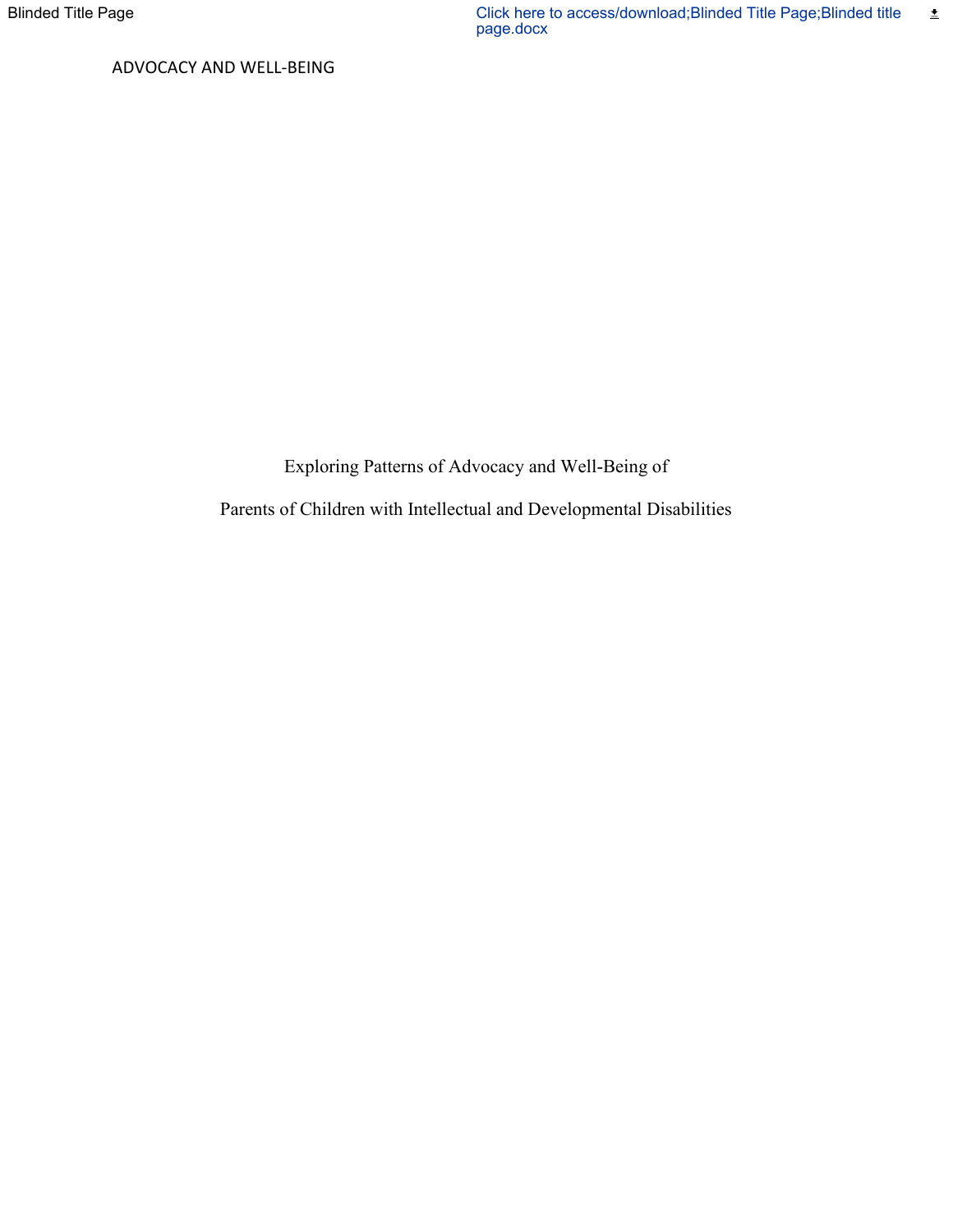Exploring Patterns of Advocacy and Well-Being of

Parents of Children with Intellectual and Developmental Disabilities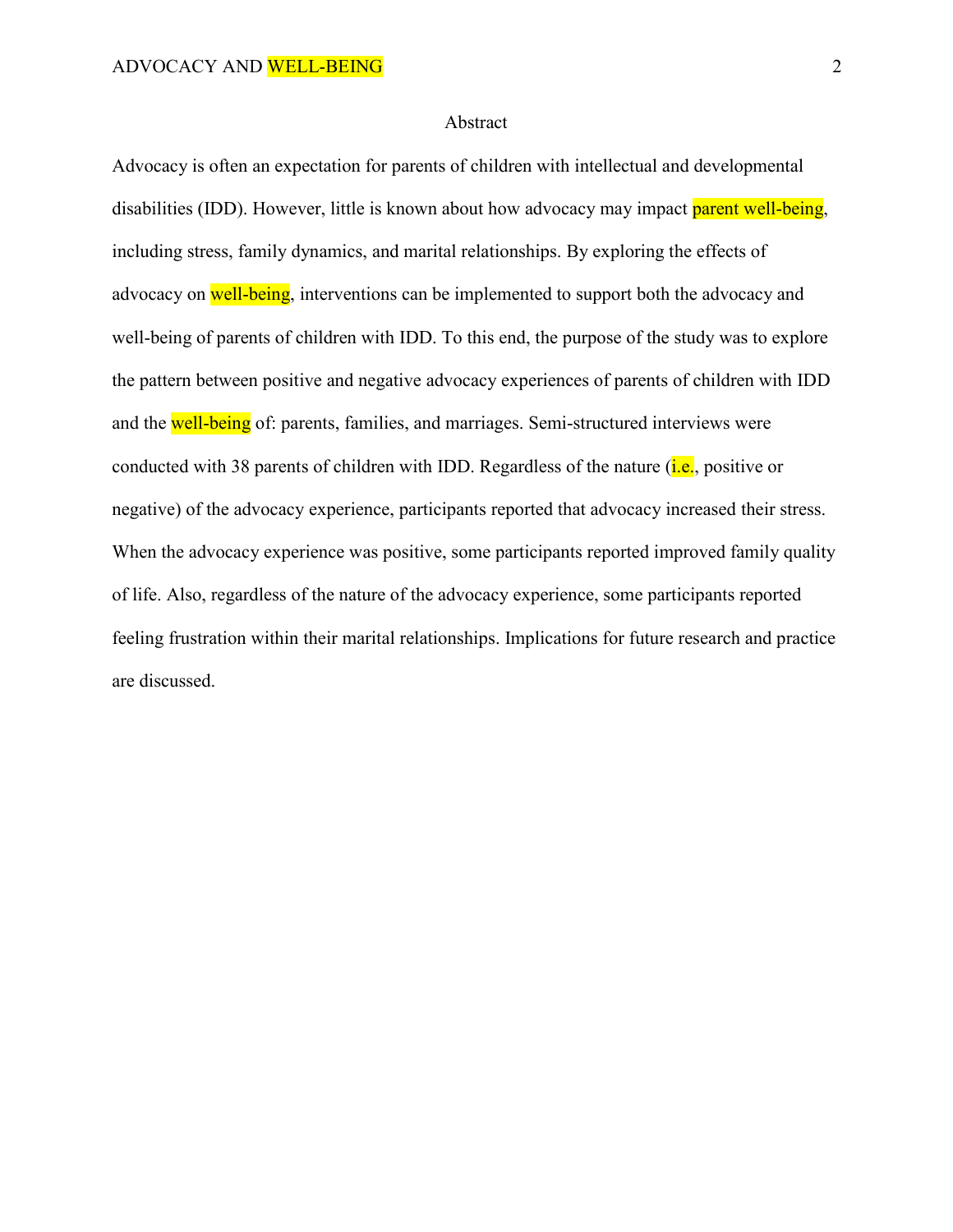## Abstract

Advocacy is often an expectation for parents of children with intellectual and developmental disabilities (IDD). However, little is known about how advocacy may impact parent well-being, including stress, family dynamics, and marital relationships. By exploring the effects of advocacy on well-being, interventions can be implemented to support both the advocacy and well-being of parents of children with IDD. To this end, the purpose of the study was to explore the pattern between positive and negative advocacy experiences of parents of children with IDD and the well-being of: parents, families, and marriages. Semi-structured interviews were conducted with 38 parents of children with IDD. Regardless of the nature  $(i.e.,$  positive or negative) of the advocacy experience, participants reported that advocacy increased their stress. When the advocacy experience was positive, some participants reported improved family quality of life. Also, regardless of the nature of the advocacy experience, some participants reported feeling frustration within their marital relationships. Implications for future research and practice are discussed.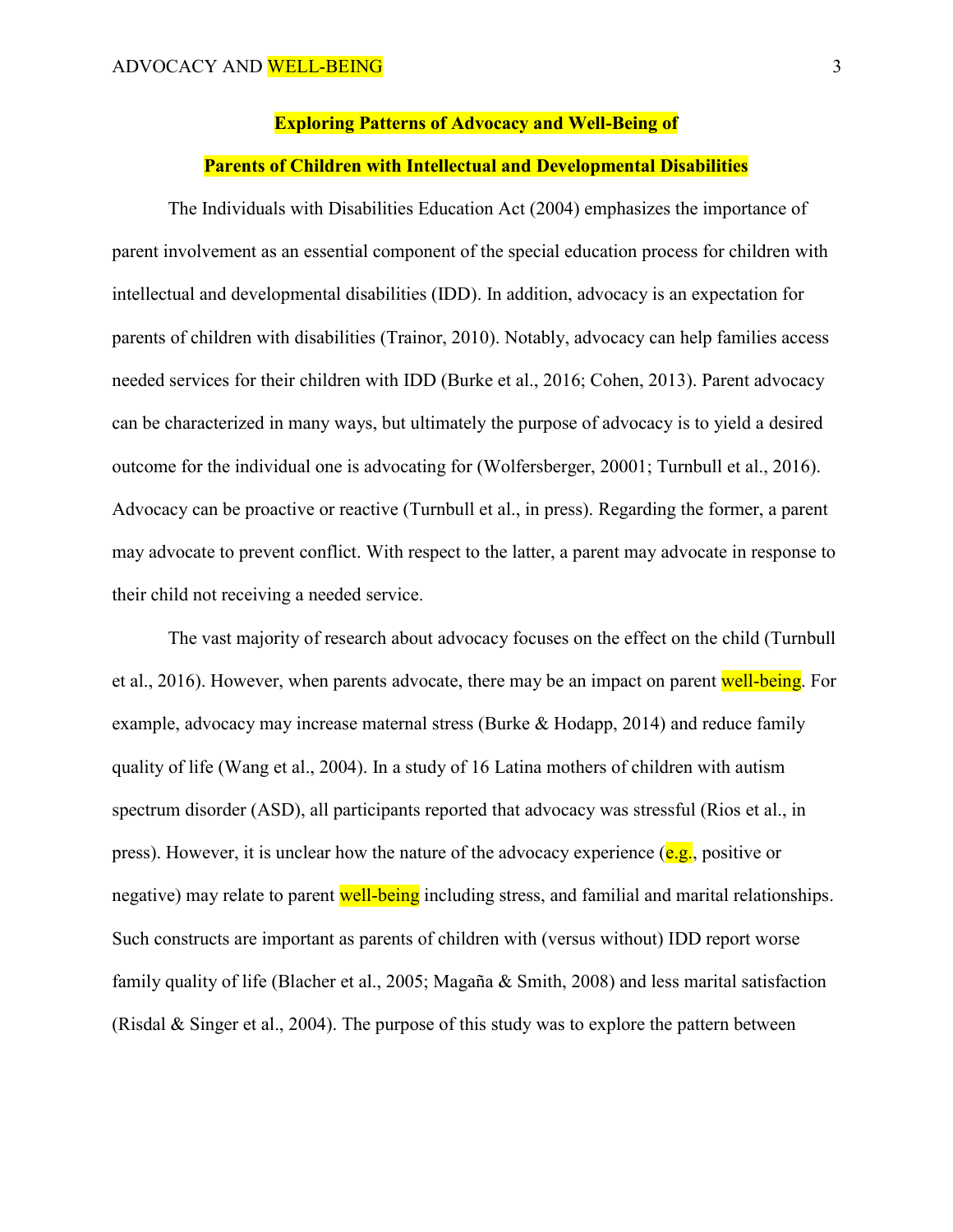#### **Exploring Patterns of Advocacy and Well-Being of**

### **Parents of Children with Intellectual and Developmental Disabilities**

The Individuals with Disabilities Education Act (2004) emphasizes the importance of parent involvement as an essential component of the special education process for children with intellectual and developmental disabilities (IDD). In addition, advocacy is an expectation for parents of children with disabilities (Trainor, 2010). Notably, advocacy can help families access needed services for their children with IDD (Burke et al., 2016; Cohen, 2013). Parent advocacy can be characterized in many ways, but ultimately the purpose of advocacy is to yield a desired outcome for the individual one is advocating for (Wolfersberger, 20001; Turnbull et al., 2016). Advocacy can be proactive or reactive (Turnbull et al., in press). Regarding the former, a parent may advocate to prevent conflict. With respect to the latter, a parent may advocate in response to their child not receiving a needed service.

The vast majority of research about advocacy focuses on the effect on the child (Turnbull et al., 2016). However, when parents advocate, there may be an impact on parent well-being. For example, advocacy may increase maternal stress (Burke & Hodapp, 2014) and reduce family quality of life (Wang et al., 2004). In a study of 16 Latina mothers of children with autism spectrum disorder (ASD), all participants reported that advocacy was stressful (Rios et al., in press). However, it is unclear how the nature of the advocacy experience  $(e.g.,\text{ positive or})$ negative) may relate to parent **well-being** including stress, and familial and marital relationships. Such constructs are important as parents of children with (versus without) IDD report worse family quality of life (Blacher et al., 2005; Magaña & Smith, 2008) and less marital satisfaction (Risdal & Singer et al., 2004). The purpose of this study was to explore the pattern between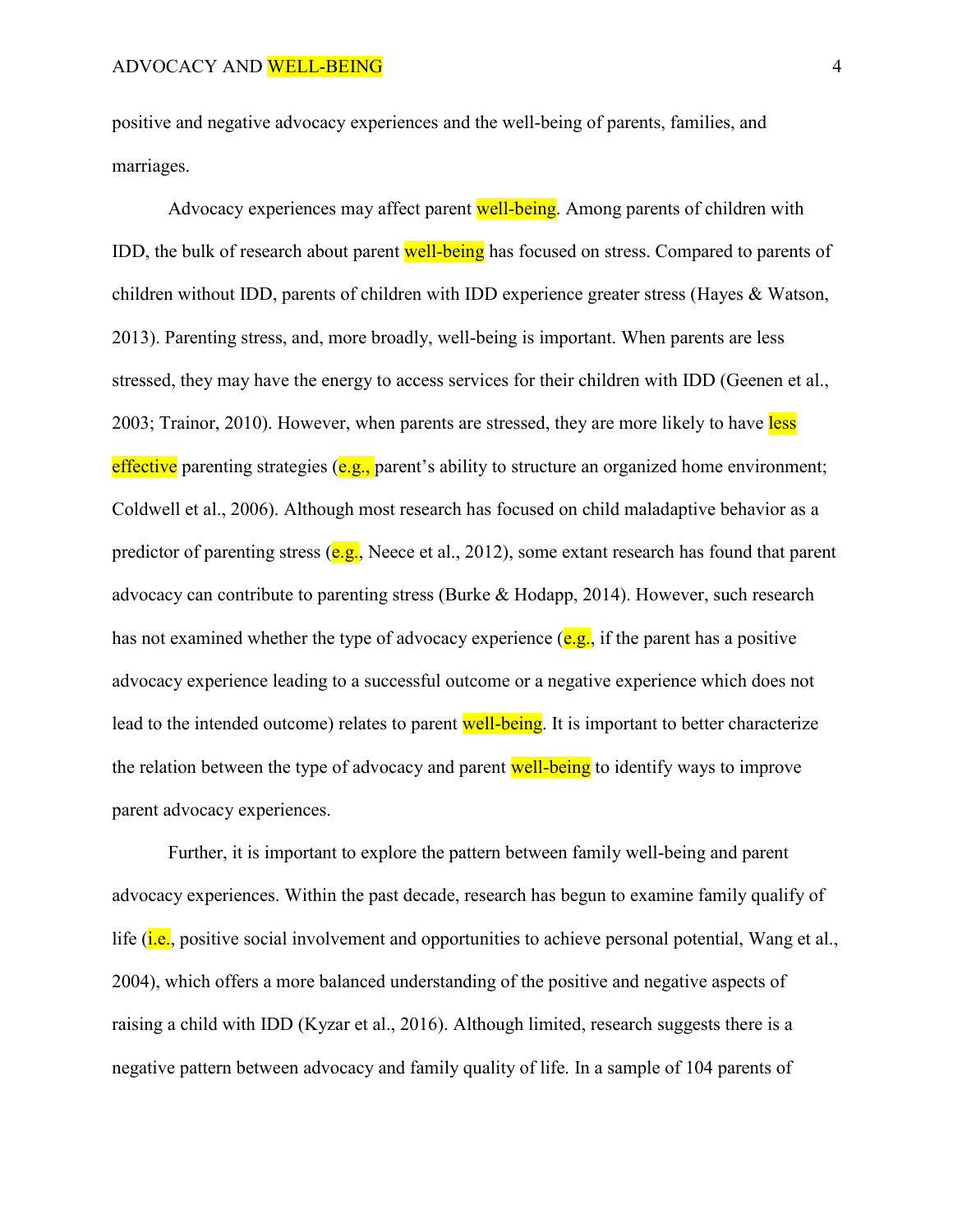positive and negative advocacy experiences and the well-being of parents, families, and marriages.

Advocacy experiences may affect parent well-being. Among parents of children with IDD, the bulk of research about parent well-being has focused on stress. Compared to parents of children without IDD, parents of children with IDD experience greater stress (Hayes & Watson, 2013). Parenting stress, and, more broadly, well-being is important. When parents are less stressed, they may have the energy to access services for their children with IDD (Geenen et al., 2003; Trainor, 2010). However, when parents are stressed, they are more likely to have less effective parenting strategies (e.g., parent's ability to structure an organized home environment; Coldwell et al., 2006). Although most research has focused on child maladaptive behavior as a predictor of parenting stress ( $e.g.,$  Neece et al., 2012), some extant research has found that parent advocacy can contribute to parenting stress (Burke & Hodapp, 2014). However, such research has not examined whether the type of advocacy experience  $(e.g.,$  if the parent has a positive advocacy experience leading to a successful outcome or a negative experience which does not lead to the intended outcome) relates to parent well-being. It is important to better characterize the relation between the type of advocacy and parent well-being to identify ways to improve parent advocacy experiences.

Further, it is important to explore the pattern between family well-being and parent advocacy experiences. Within the past decade, research has begun to examine family qualify of life (*i.e.*, positive social involvement and opportunities to achieve personal potential, Wang et al., 2004), which offers a more balanced understanding of the positive and negative aspects of raising a child with IDD (Kyzar et al., 2016). Although limited, research suggests there is a negative pattern between advocacy and family quality of life. In a sample of 104 parents of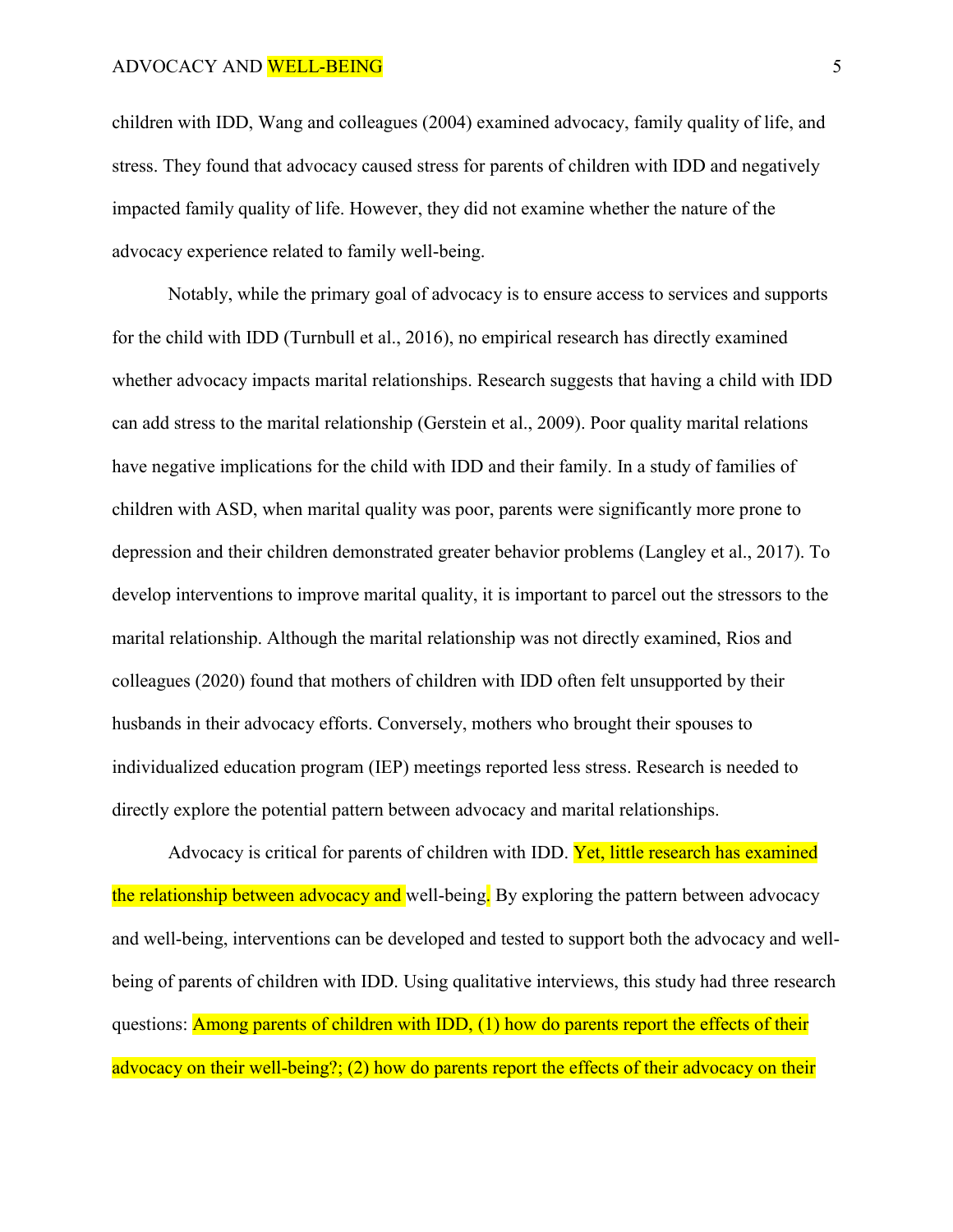children with IDD, Wang and colleagues (2004) examined advocacy, family quality of life, and stress. They found that advocacy caused stress for parents of children with IDD and negatively impacted family quality of life. However, they did not examine whether the nature of the advocacy experience related to family well-being.

Notably, while the primary goal of advocacy is to ensure access to services and supports for the child with IDD (Turnbull et al., 2016), no empirical research has directly examined whether advocacy impacts marital relationships. Research suggests that having a child with IDD can add stress to the marital relationship (Gerstein et al., 2009). Poor quality marital relations have negative implications for the child with IDD and their family. In a study of families of children with ASD, when marital quality was poor, parents were significantly more prone to depression and their children demonstrated greater behavior problems (Langley et al., 2017). To develop interventions to improve marital quality, it is important to parcel out the stressors to the marital relationship. Although the marital relationship was not directly examined, Rios and colleagues (2020) found that mothers of children with IDD often felt unsupported by their husbands in their advocacy efforts. Conversely, mothers who brought their spouses to individualized education program (IEP) meetings reported less stress. Research is needed to directly explore the potential pattern between advocacy and marital relationships.

Advocacy is critical for parents of children with IDD. Yet, little research has examined the relationship between advocacy and well-being. By exploring the pattern between advocacy and well-being, interventions can be developed and tested to support both the advocacy and wellbeing of parents of children with IDD. Using qualitative interviews, this study had three research questions: Among parents of children with IDD, (1) how do parents report the effects of their advocacy on their well-being?; (2) how do parents report the effects of their advocacy on their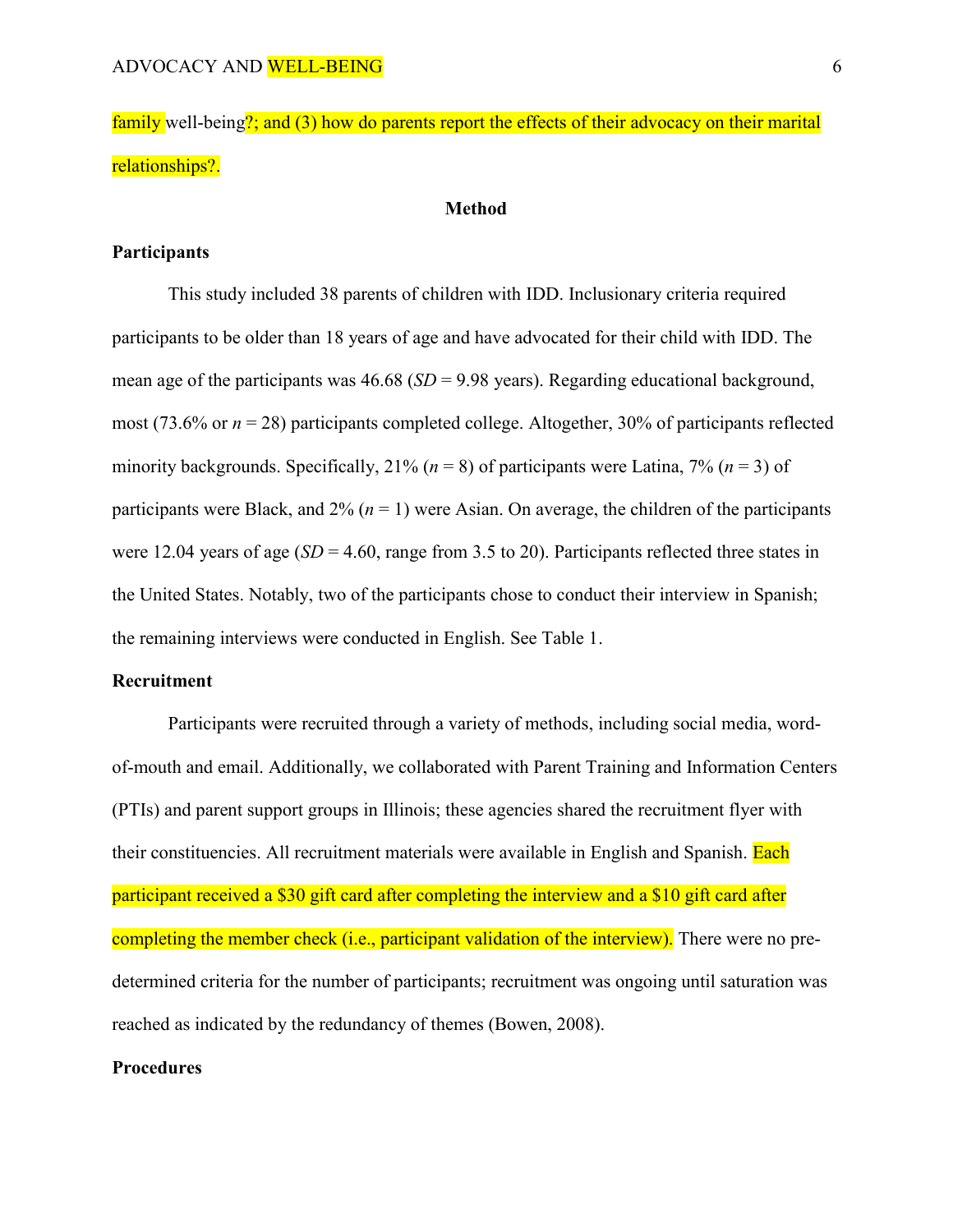family well-being?; and (3) how do parents report the effects of their advocacy on their marital relationships?.

## **Method**

### **Participants**

This study included 38 parents of children with IDD. Inclusionary criteria required participants to be older than 18 years of age and have advocated for their child with IDD. The mean age of the participants was 46.68 (*SD* = 9.98 years). Regarding educational background, most (73.6% or  $n = 28$ ) participants completed college. Altogether, 30% of participants reflected minority backgrounds. Specifically,  $21\%$  ( $n = 8$ ) of participants were Latina,  $7\%$  ( $n = 3$ ) of participants were Black, and  $2\%$  ( $n = 1$ ) were Asian. On average, the children of the participants were 12.04 years of age  $(SD = 4.60$ , range from 3.5 to 20). Participants reflected three states in the United States. Notably, two of the participants chose to conduct their interview in Spanish; the remaining interviews were conducted in English. See Table 1.

## **Recruitment**

Participants were recruited through a variety of methods, including social media, wordof-mouth and email. Additionally, we collaborated with Parent Training and Information Centers (PTIs) and parent support groups in Illinois; these agencies shared the recruitment flyer with their constituencies. All recruitment materials were available in English and Spanish. Each participant received a \$30 gift card after completing the interview and a \$10 gift card after completing the member check (i.e., participant validation of the interview). There were no predetermined criteria for the number of participants; recruitment was ongoing until saturation was reached as indicated by the redundancy of themes (Bowen, 2008).

## **Procedures**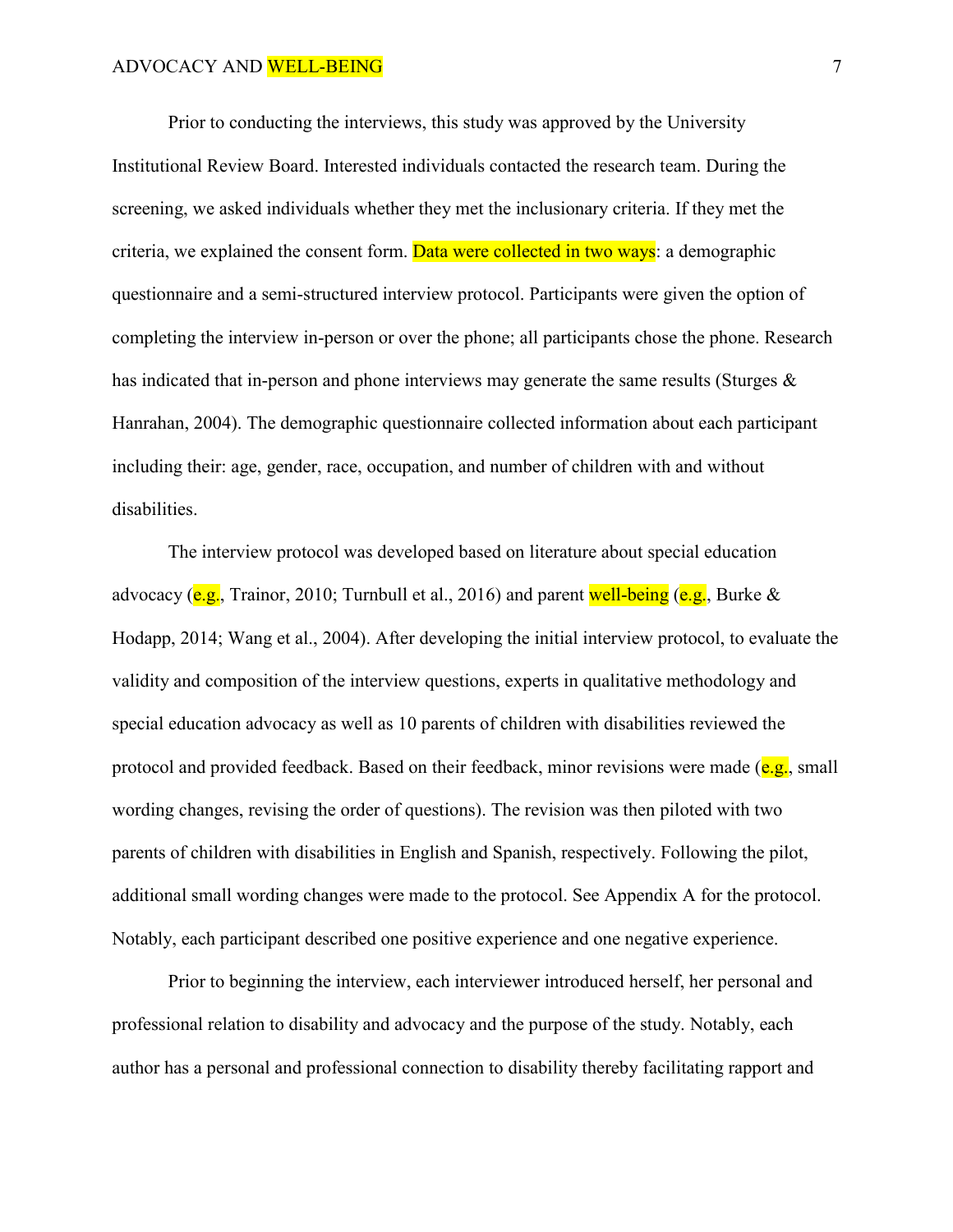Prior to conducting the interviews, this study was approved by the University Institutional Review Board. Interested individuals contacted the research team. During the screening, we asked individuals whether they met the inclusionary criteria. If they met the criteria, we explained the consent form. Data were collected in two ways: a demographic questionnaire and a semi-structured interview protocol. Participants were given the option of completing the interview in-person or over the phone; all participants chose the phone. Research has indicated that in-person and phone interviews may generate the same results (Sturges & Hanrahan, 2004). The demographic questionnaire collected information about each participant including their: age, gender, race, occupation, and number of children with and without disabilities.

The interview protocol was developed based on literature about special education advocacy (e.g., Trainor, 2010; Turnbull et al., 2016) and parent well-being (e.g., Burke  $\&$ Hodapp, 2014; Wang et al., 2004). After developing the initial interview protocol, to evaluate the validity and composition of the interview questions, experts in qualitative methodology and special education advocacy as well as 10 parents of children with disabilities reviewed the protocol and provided feedback. Based on their feedback, minor revisions were made  $(e.g., small)$ wording changes, revising the order of questions). The revision was then piloted with two parents of children with disabilities in English and Spanish, respectively. Following the pilot, additional small wording changes were made to the protocol. See Appendix A for the protocol. Notably, each participant described one positive experience and one negative experience.

Prior to beginning the interview, each interviewer introduced herself, her personal and professional relation to disability and advocacy and the purpose of the study. Notably, each author has a personal and professional connection to disability thereby facilitating rapport and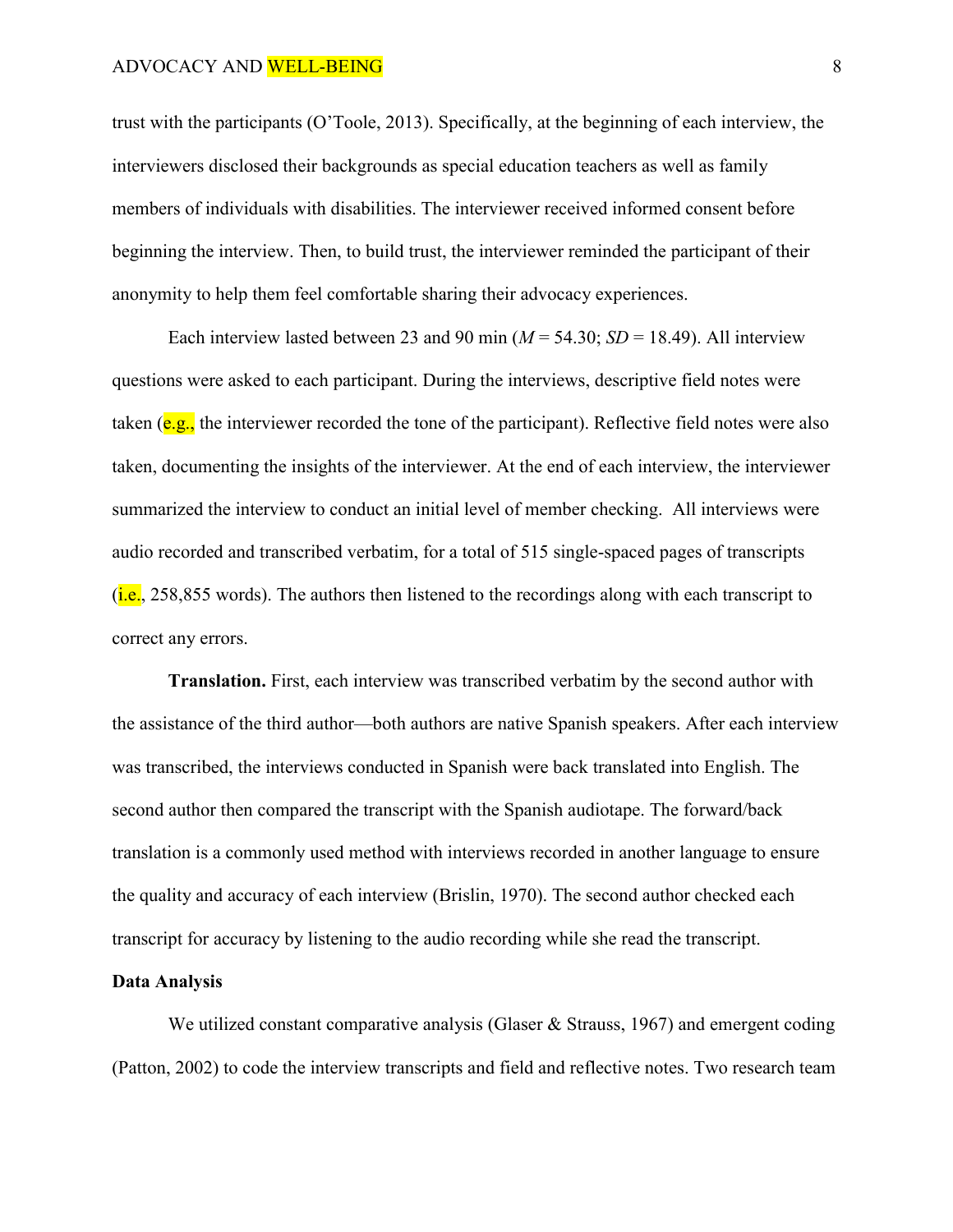trust with the participants (O'Toole, 2013). Specifically, at the beginning of each interview, the interviewers disclosed their backgrounds as special education teachers as well as family members of individuals with disabilities. The interviewer received informed consent before beginning the interview. Then, to build trust, the interviewer reminded the participant of their anonymity to help them feel comfortable sharing their advocacy experiences.

Each interview lasted between 23 and 90 min  $(M = 54.30; SD = 18.49)$ . All interview questions were asked to each participant. During the interviews, descriptive field notes were taken ( $e.g.,$  the interviewer recorded the tone of the participant). Reflective field notes were also taken, documenting the insights of the interviewer. At the end of each interview, the interviewer summarized the interview to conduct an initial level of member checking. All interviews were audio recorded and transcribed verbatim, for a total of 515 single-spaced pages of transcripts  $(i.e., 258.855$  words). The authors then listened to the recordings along with each transcript to correct any errors.

**Translation.** First, each interview was transcribed verbatim by the second author with the assistance of the third author—both authors are native Spanish speakers. After each interview was transcribed, the interviews conducted in Spanish were back translated into English. The second author then compared the transcript with the Spanish audiotape. The forward/back translation is a commonly used method with interviews recorded in another language to ensure the quality and accuracy of each interview (Brislin, 1970). The second author checked each transcript for accuracy by listening to the audio recording while she read the transcript.

## **Data Analysis**

We utilized constant comparative analysis (Glaser & Strauss, 1967) and emergent coding (Patton, 2002) to code the interview transcripts and field and reflective notes. Two research team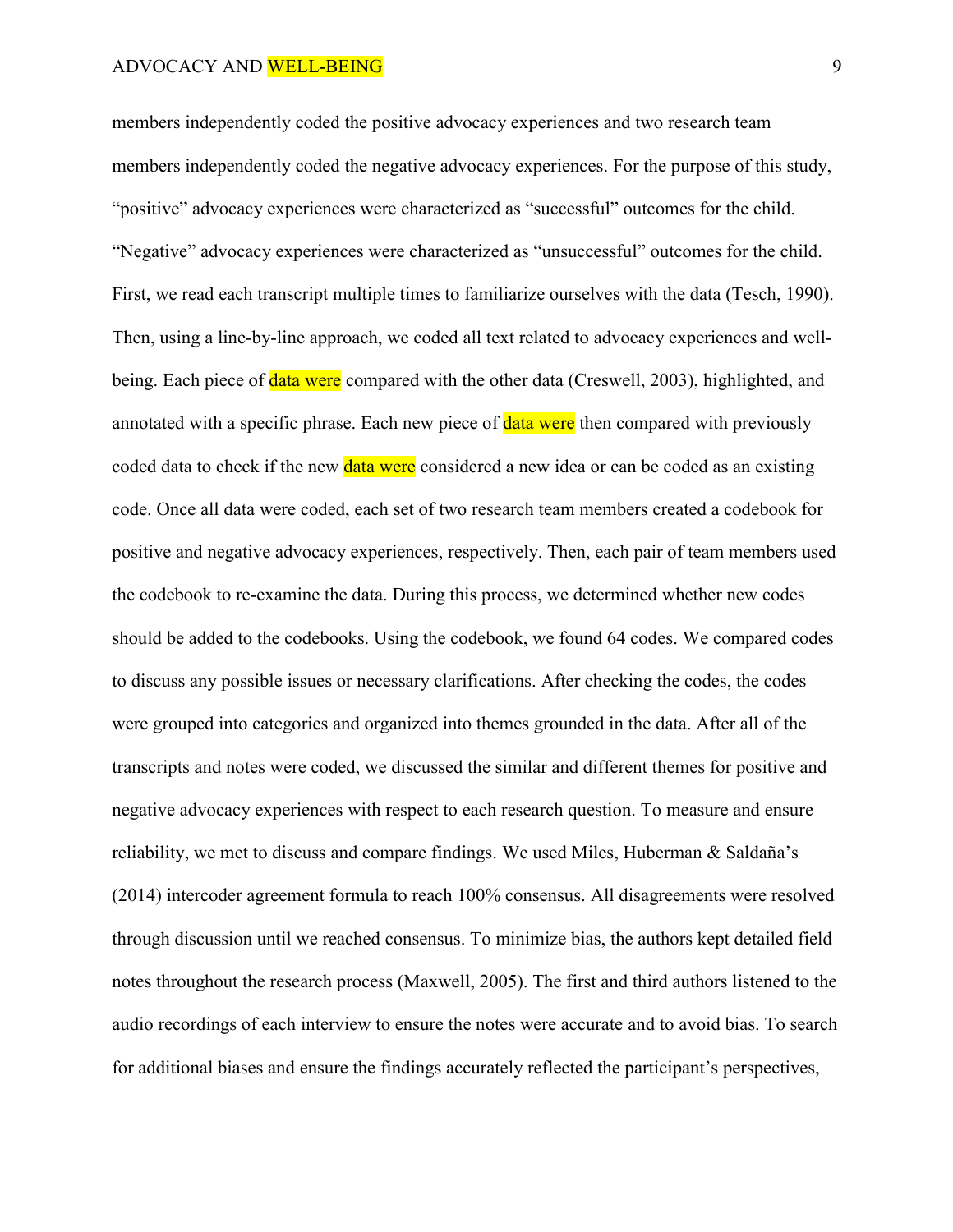members independently coded the positive advocacy experiences and two research team members independently coded the negative advocacy experiences. For the purpose of this study, "positive" advocacy experiences were characterized as "successful" outcomes for the child. "Negative" advocacy experiences were characterized as "unsuccessful" outcomes for the child. First, we read each transcript multiple times to familiarize ourselves with the data (Tesch, 1990). Then, using a line-by-line approach, we coded all text related to advocacy experiences and wellbeing. Each piece of **data were** compared with the other data (Creswell, 2003), highlighted, and annotated with a specific phrase. Each new piece of **data were** then compared with previously coded data to check if the new **data were** considered a new idea or can be coded as an existing code. Once all data were coded, each set of two research team members created a codebook for positive and negative advocacy experiences, respectively. Then, each pair of team members used the codebook to re-examine the data. During this process, we determined whether new codes should be added to the codebooks. Using the codebook, we found 64 codes. We compared codes to discuss any possible issues or necessary clarifications. After checking the codes, the codes were grouped into categories and organized into themes grounded in the data. After all of the transcripts and notes were coded, we discussed the similar and different themes for positive and negative advocacy experiences with respect to each research question. To measure and ensure reliability, we met to discuss and compare findings. We used Miles, Huberman & Saldaña's (2014) intercoder agreement formula to reach 100% consensus. All disagreements were resolved through discussion until we reached consensus. To minimize bias, the authors kept detailed field notes throughout the research process (Maxwell, 2005). The first and third authors listened to the audio recordings of each interview to ensure the notes were accurate and to avoid bias. To search for additional biases and ensure the findings accurately reflected the participant's perspectives,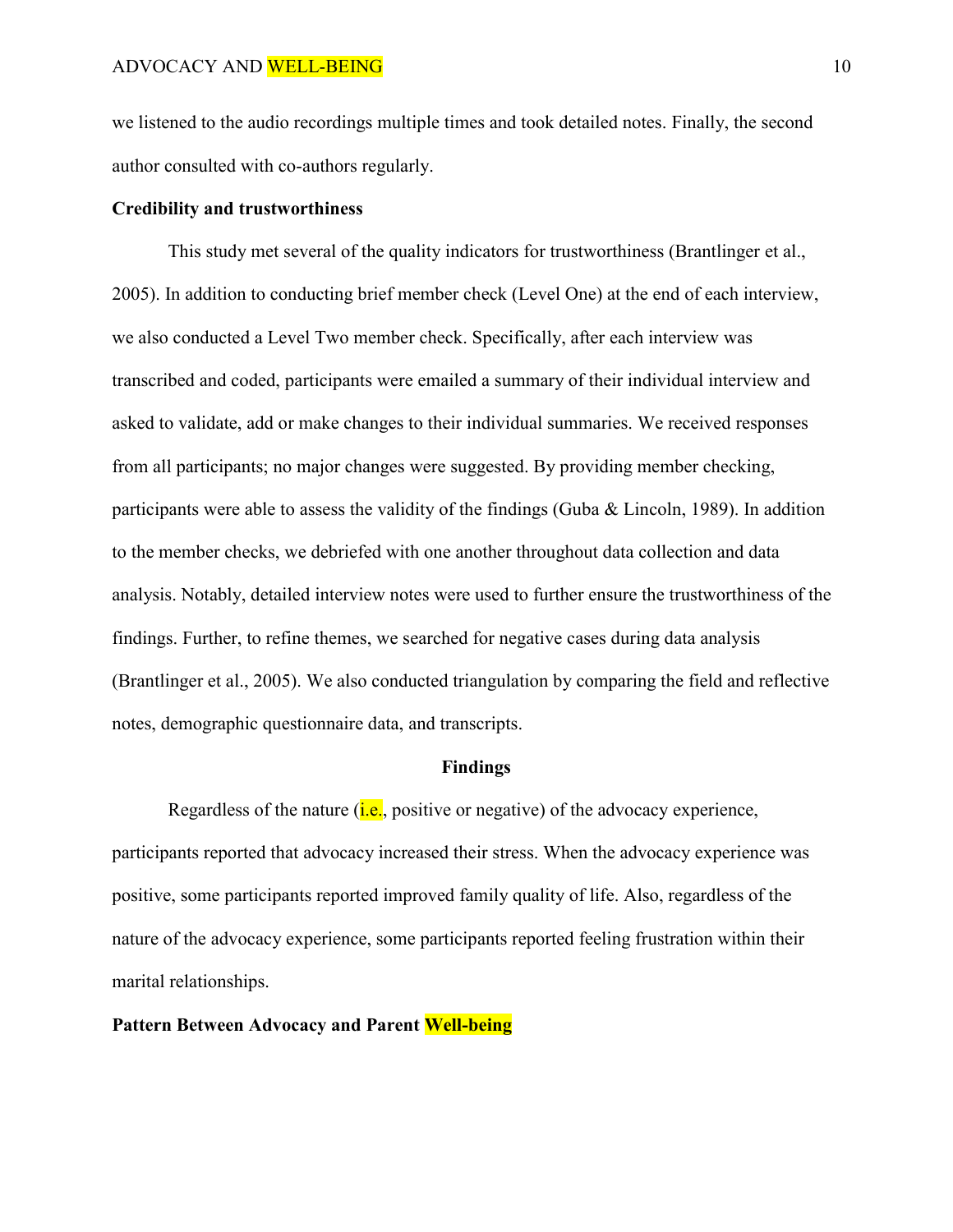we listened to the audio recordings multiple times and took detailed notes. Finally, the second author consulted with co-authors regularly.

# **Credibility and trustworthiness**

This study met several of the quality indicators for trustworthiness (Brantlinger et al., 2005). In addition to conducting brief member check (Level One) at the end of each interview, we also conducted a Level Two member check. Specifically, after each interview was transcribed and coded, participants were emailed a summary of their individual interview and asked to validate, add or make changes to their individual summaries. We received responses from all participants; no major changes were suggested. By providing member checking, participants were able to assess the validity of the findings (Guba & Lincoln, 1989). In addition to the member checks, we debriefed with one another throughout data collection and data analysis. Notably, detailed interview notes were used to further ensure the trustworthiness of the findings. Further, to refine themes, we searched for negative cases during data analysis (Brantlinger et al., 2005). We also conducted triangulation by comparing the field and reflective notes, demographic questionnaire data, and transcripts.

### **Findings**

Regardless of the nature  $(i.e.,$  positive or negative) of the advocacy experience, participants reported that advocacy increased their stress. When the advocacy experience was positive, some participants reported improved family quality of life. Also, regardless of the nature of the advocacy experience, some participants reported feeling frustration within their marital relationships.

#### **Pattern Between Advocacy and Parent Well-being**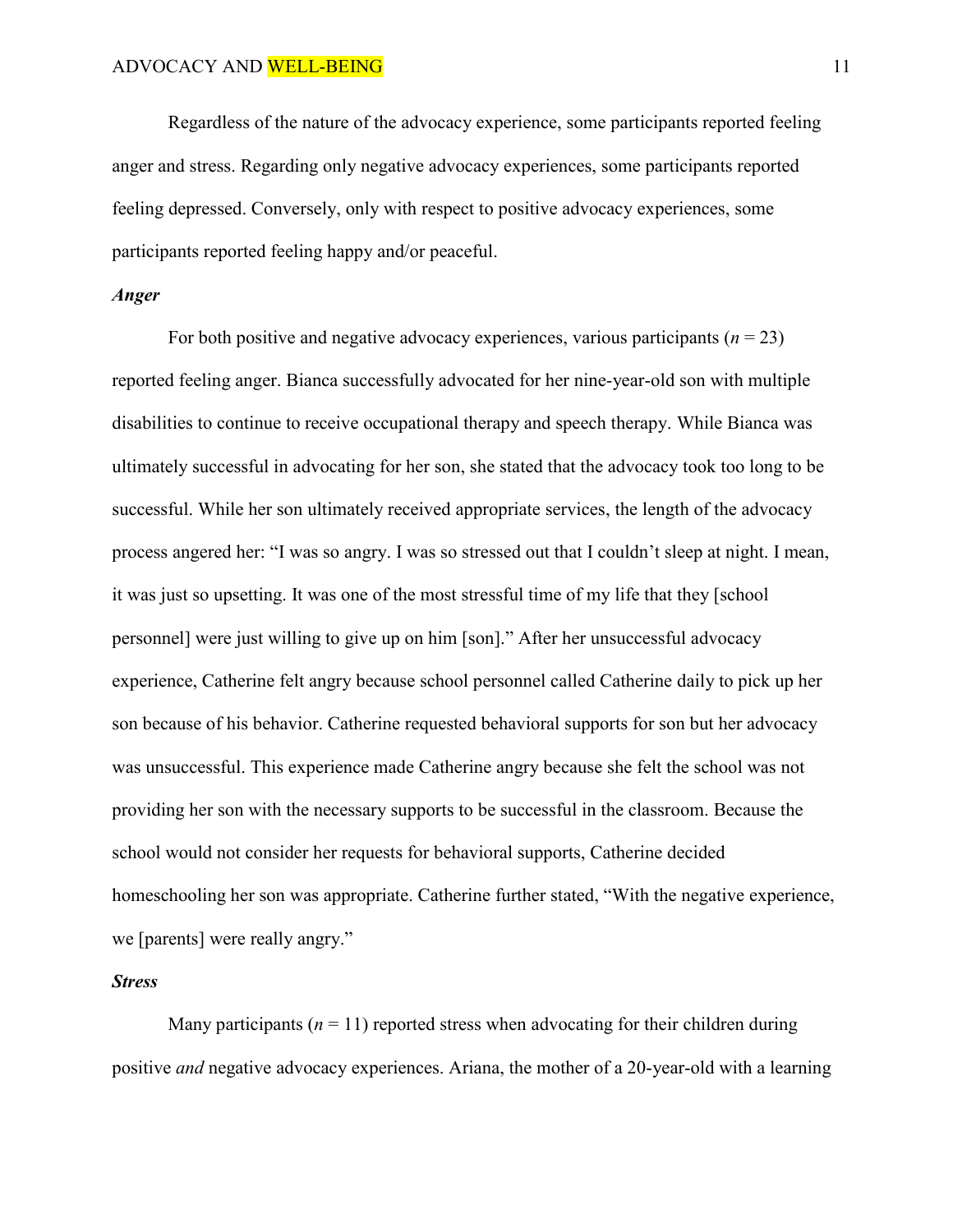Regardless of the nature of the advocacy experience, some participants reported feeling anger and stress. Regarding only negative advocacy experiences, some participants reported feeling depressed. Conversely, only with respect to positive advocacy experiences, some participants reported feeling happy and/or peaceful.

# *Anger*

For both positive and negative advocacy experiences, various participants  $(n = 23)$ reported feeling anger. Bianca successfully advocated for her nine-year-old son with multiple disabilities to continue to receive occupational therapy and speech therapy. While Bianca was ultimately successful in advocating for her son, she stated that the advocacy took too long to be successful. While her son ultimately received appropriate services, the length of the advocacy process angered her: "I was so angry. I was so stressed out that I couldn't sleep at night. I mean, it was just so upsetting. It was one of the most stressful time of my life that they [school personnel] were just willing to give up on him [son]." After her unsuccessful advocacy experience, Catherine felt angry because school personnel called Catherine daily to pick up her son because of his behavior. Catherine requested behavioral supports for son but her advocacy was unsuccessful. This experience made Catherine angry because she felt the school was not providing her son with the necessary supports to be successful in the classroom. Because the school would not consider her requests for behavioral supports, Catherine decided homeschooling her son was appropriate. Catherine further stated, "With the negative experience, we [parents] were really angry."

## *Stress*

Many participants  $(n = 11)$  reported stress when advocating for their children during positive *and* negative advocacy experiences. Ariana, the mother of a 20-year-old with a learning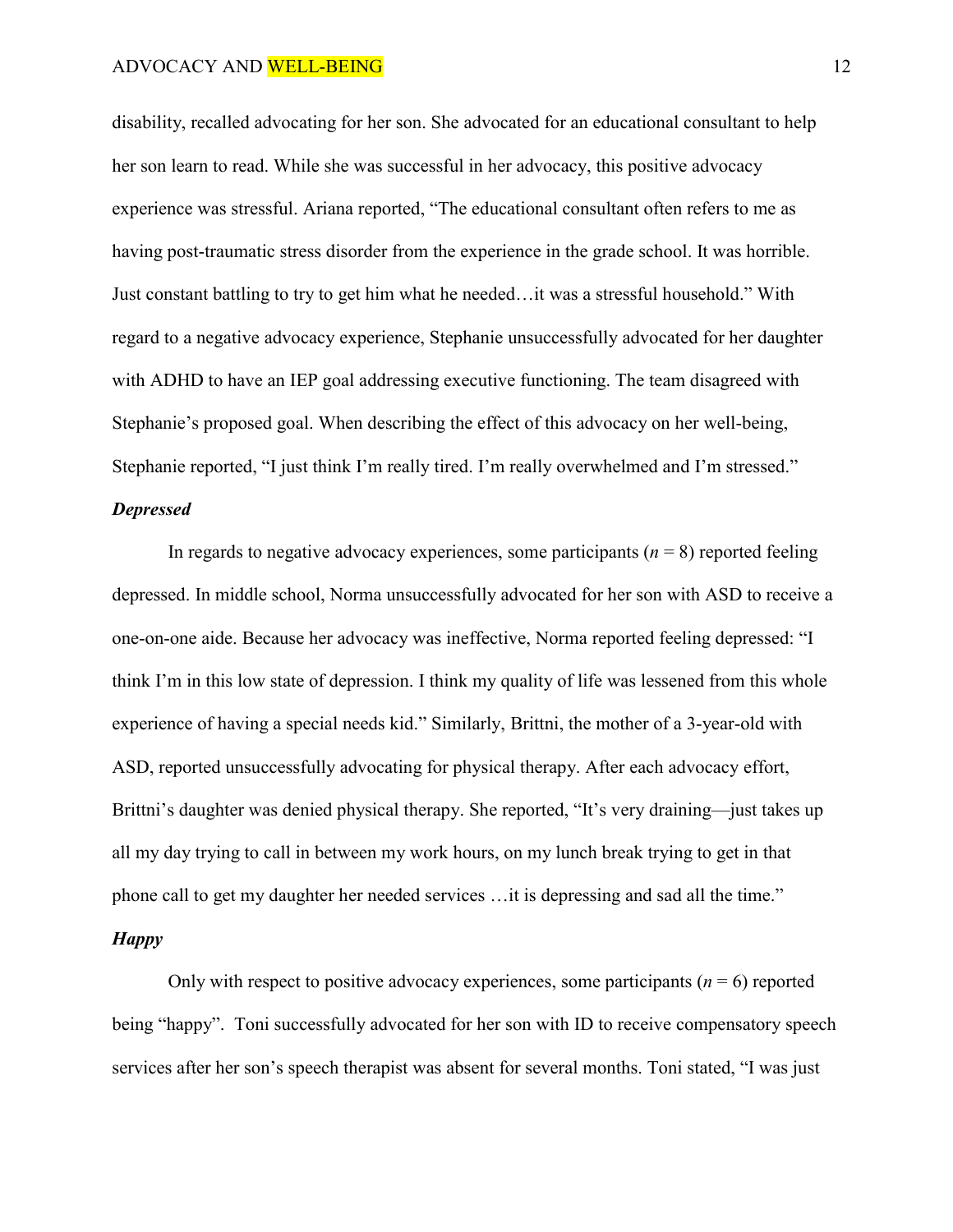disability, recalled advocating for her son. She advocated for an educational consultant to help her son learn to read. While she was successful in her advocacy, this positive advocacy experience was stressful. Ariana reported, "The educational consultant often refers to me as having post-traumatic stress disorder from the experience in the grade school. It was horrible. Just constant battling to try to get him what he needed…it was a stressful household." With regard to a negative advocacy experience, Stephanie unsuccessfully advocated for her daughter with ADHD to have an IEP goal addressing executive functioning. The team disagreed with Stephanie's proposed goal. When describing the effect of this advocacy on her well-being, Stephanie reported, "I just think I'm really tired. I'm really overwhelmed and I'm stressed."

### *Depressed*

In regards to negative advocacy experiences, some participants  $(n = 8)$  reported feeling depressed. In middle school, Norma unsuccessfully advocated for her son with ASD to receive a one-on-one aide. Because her advocacy was ineffective, Norma reported feeling depressed: "I think I'm in this low state of depression. I think my quality of life was lessened from this whole experience of having a special needs kid." Similarly, Brittni, the mother of a 3-year-old with ASD, reported unsuccessfully advocating for physical therapy. After each advocacy effort, Brittni's daughter was denied physical therapy. She reported, "It's very draining—just takes up all my day trying to call in between my work hours, on my lunch break trying to get in that phone call to get my daughter her needed services …it is depressing and sad all the time." *Happy* 

Only with respect to positive advocacy experiences, some participants  $(n = 6)$  reported being "happy". Toni successfully advocated for her son with ID to receive compensatory speech services after her son's speech therapist was absent for several months. Toni stated, "I was just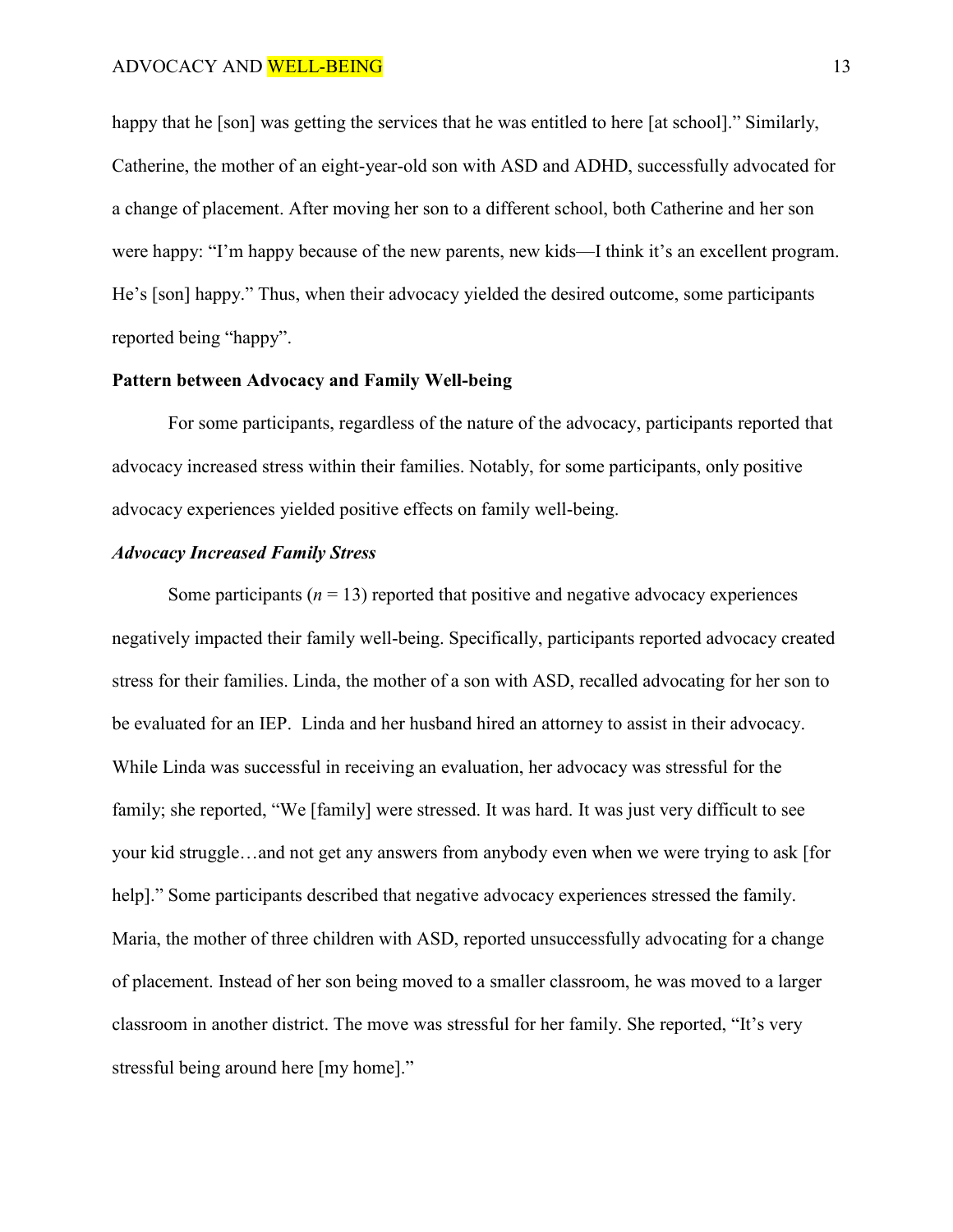happy that he [son] was getting the services that he was entitled to here [at school]." Similarly, Catherine, the mother of an eight-year-old son with ASD and ADHD, successfully advocated for a change of placement. After moving her son to a different school, both Catherine and her son were happy: "I'm happy because of the new parents, new kids—I think it's an excellent program. He's [son] happy." Thus, when their advocacy yielded the desired outcome, some participants reported being "happy".

# **Pattern between Advocacy and Family Well-being**

For some participants, regardless of the nature of the advocacy, participants reported that advocacy increased stress within their families. Notably, for some participants, only positive advocacy experiences yielded positive effects on family well-being.

## *Advocacy Increased Family Stress*

Some participants  $(n = 13)$  reported that positive and negative advocacy experiences negatively impacted their family well-being. Specifically, participants reported advocacy created stress for their families. Linda, the mother of a son with ASD, recalled advocating for her son to be evaluated for an IEP. Linda and her husband hired an attorney to assist in their advocacy. While Linda was successful in receiving an evaluation, her advocacy was stressful for the family; she reported, "We [family] were stressed. It was hard. It was just very difficult to see your kid struggle…and not get any answers from anybody even when we were trying to ask [for help]." Some participants described that negative advocacy experiences stressed the family. Maria, the mother of three children with ASD, reported unsuccessfully advocating for a change of placement. Instead of her son being moved to a smaller classroom, he was moved to a larger classroom in another district. The move was stressful for her family. She reported, "It's very stressful being around here [my home]."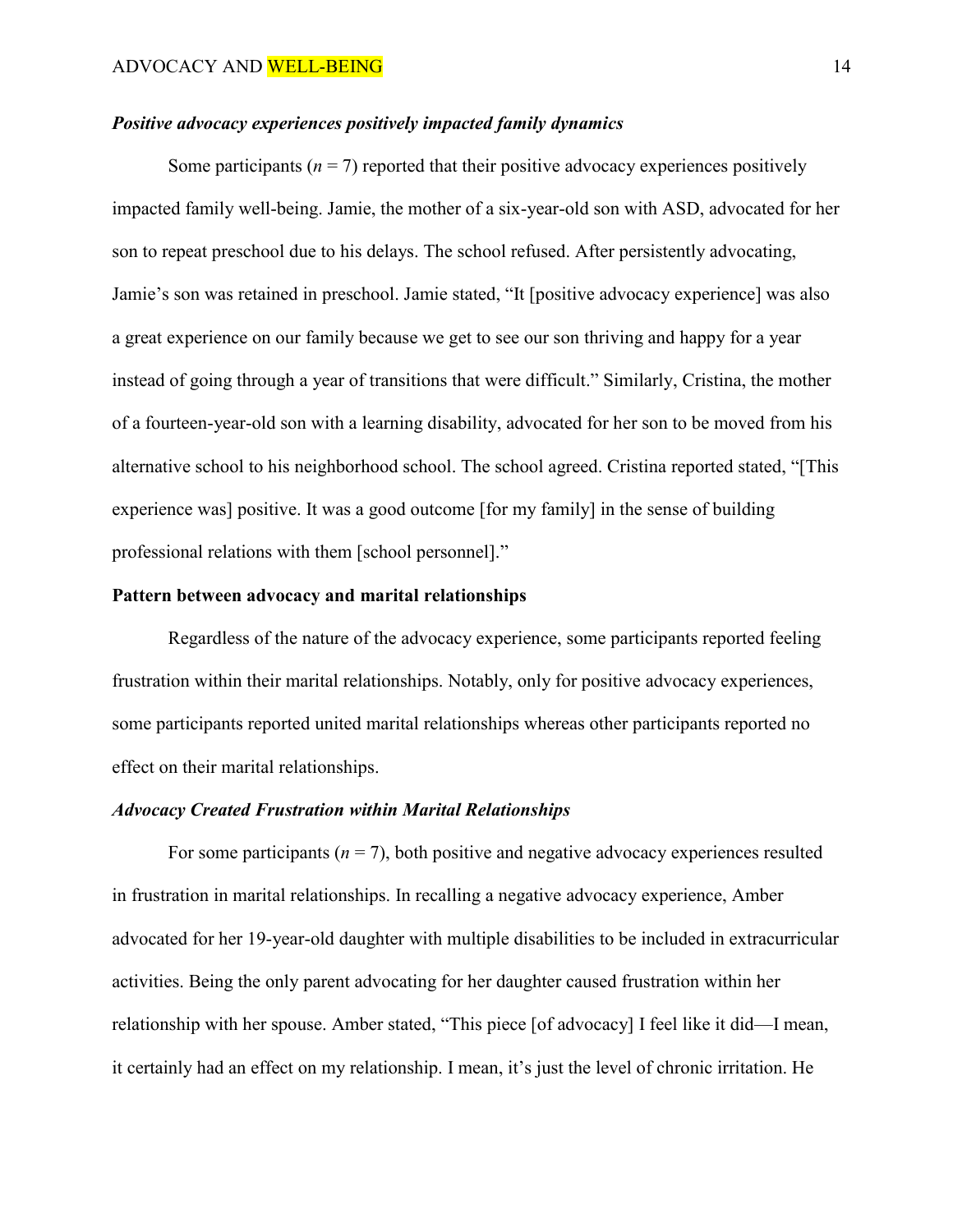# *Positive advocacy experiences positively impacted family dynamics*

Some participants ( $n = 7$ ) reported that their positive advocacy experiences positively impacted family well-being. Jamie, the mother of a six-year-old son with ASD, advocated for her son to repeat preschool due to his delays. The school refused. After persistently advocating, Jamie's son was retained in preschool. Jamie stated, "It [positive advocacy experience] was also a great experience on our family because we get to see our son thriving and happy for a year instead of going through a year of transitions that were difficult." Similarly, Cristina, the mother of a fourteen-year-old son with a learning disability, advocated for her son to be moved from his alternative school to his neighborhood school. The school agreed. Cristina reported stated, "[This experience was] positive. It was a good outcome [for my family] in the sense of building professional relations with them [school personnel]."

## **Pattern between advocacy and marital relationships**

Regardless of the nature of the advocacy experience, some participants reported feeling frustration within their marital relationships. Notably, only for positive advocacy experiences, some participants reported united marital relationships whereas other participants reported no effect on their marital relationships.

#### *Advocacy Created Frustration within Marital Relationships*

For some participants  $(n = 7)$ , both positive and negative advocacy experiences resulted in frustration in marital relationships. In recalling a negative advocacy experience, Amber advocated for her 19-year-old daughter with multiple disabilities to be included in extracurricular activities. Being the only parent advocating for her daughter caused frustration within her relationship with her spouse. Amber stated, "This piece [of advocacy] I feel like it did—I mean, it certainly had an effect on my relationship. I mean, it's just the level of chronic irritation. He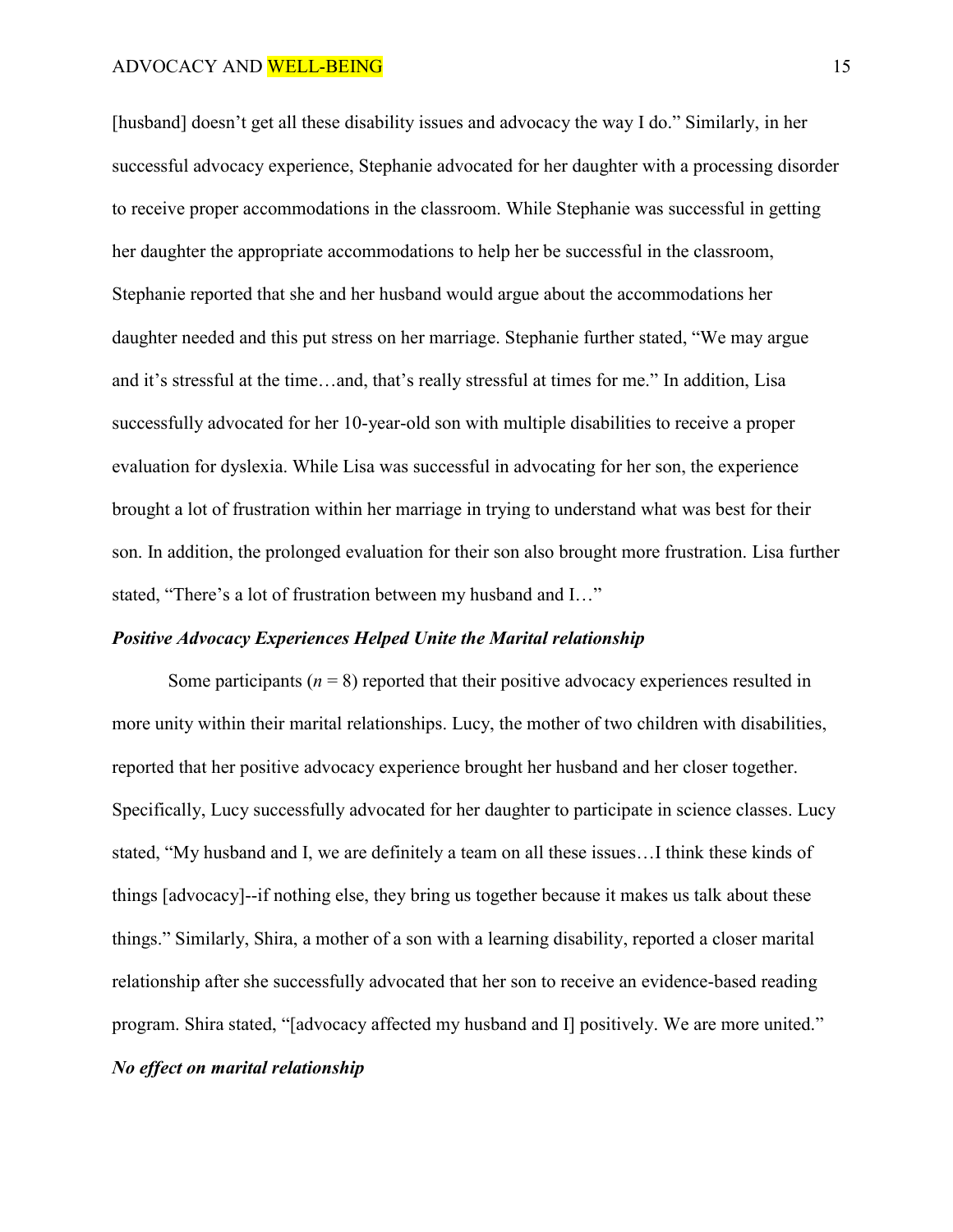[husband] doesn't get all these disability issues and advocacy the way I do." Similarly, in her successful advocacy experience, Stephanie advocated for her daughter with a processing disorder to receive proper accommodations in the classroom. While Stephanie was successful in getting her daughter the appropriate accommodations to help her be successful in the classroom, Stephanie reported that she and her husband would argue about the accommodations her daughter needed and this put stress on her marriage. Stephanie further stated, "We may argue and it's stressful at the time…and, that's really stressful at times for me." In addition, Lisa successfully advocated for her 10-year-old son with multiple disabilities to receive a proper evaluation for dyslexia. While Lisa was successful in advocating for her son, the experience brought a lot of frustration within her marriage in trying to understand what was best for their son. In addition, the prolonged evaluation for their son also brought more frustration. Lisa further stated, "There's a lot of frustration between my husband and I…"

### *Positive Advocacy Experiences Helped Unite the Marital relationship*

Some participants  $(n = 8)$  reported that their positive advocacy experiences resulted in more unity within their marital relationships. Lucy, the mother of two children with disabilities, reported that her positive advocacy experience brought her husband and her closer together. Specifically, Lucy successfully advocated for her daughter to participate in science classes. Lucy stated, "My husband and I, we are definitely a team on all these issues…I think these kinds of things [advocacy]--if nothing else, they bring us together because it makes us talk about these things." Similarly, Shira, a mother of a son with a learning disability, reported a closer marital relationship after she successfully advocated that her son to receive an evidence-based reading program. Shira stated, "[advocacy affected my husband and I] positively. We are more united." *No effect on marital relationship*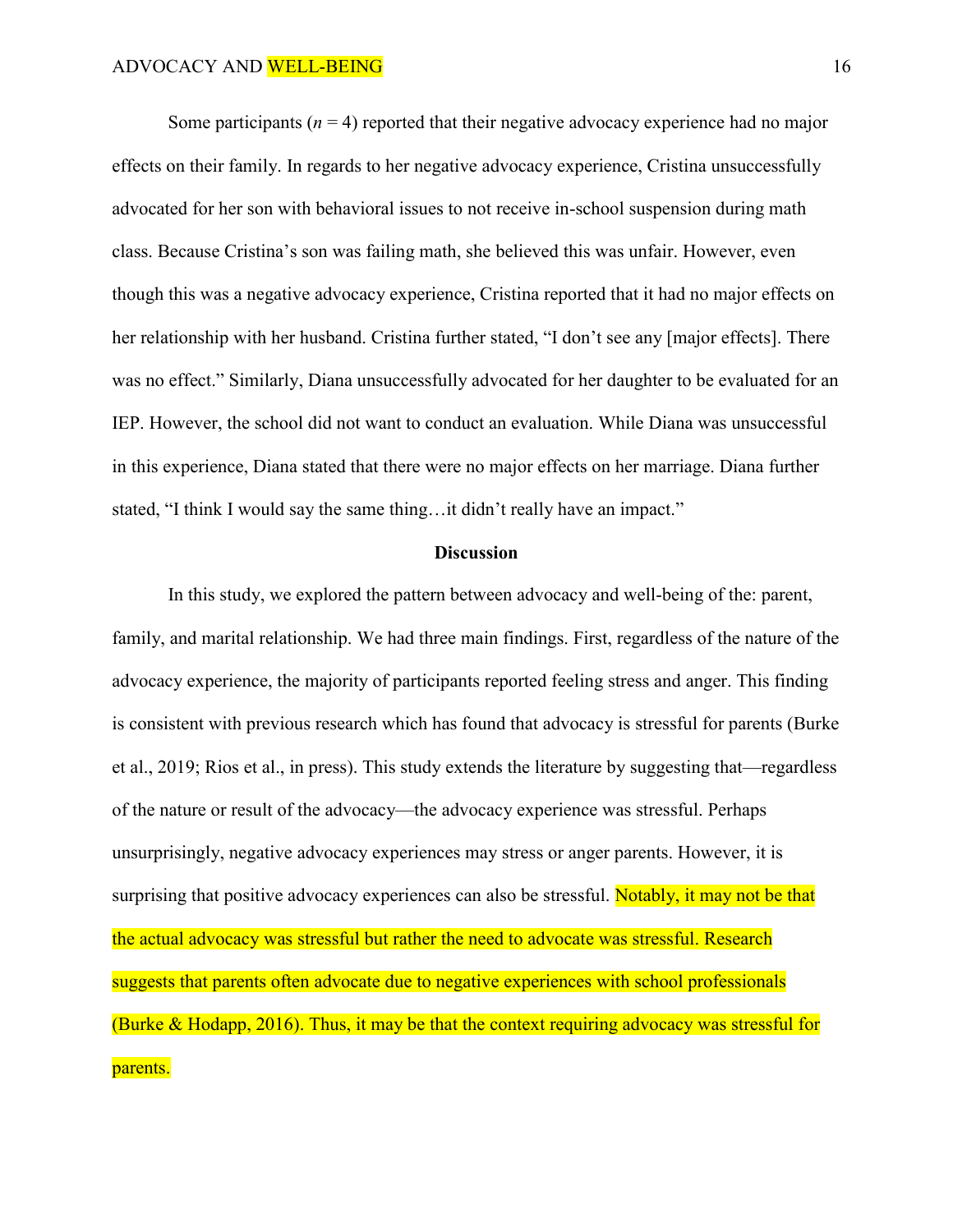Some participants  $(n = 4)$  reported that their negative advocacy experience had no major effects on their family. In regards to her negative advocacy experience, Cristina unsuccessfully advocated for her son with behavioral issues to not receive in-school suspension during math class. Because Cristina's son was failing math, she believed this was unfair. However, even though this was a negative advocacy experience, Cristina reported that it had no major effects on her relationship with her husband. Cristina further stated, "I don't see any [major effects]. There was no effect." Similarly, Diana unsuccessfully advocated for her daughter to be evaluated for an IEP. However, the school did not want to conduct an evaluation. While Diana was unsuccessful in this experience, Diana stated that there were no major effects on her marriage. Diana further stated, "I think I would say the same thing…it didn't really have an impact."

#### **Discussion**

In this study, we explored the pattern between advocacy and well-being of the: parent, family, and marital relationship. We had three main findings. First, regardless of the nature of the advocacy experience, the majority of participants reported feeling stress and anger. This finding is consistent with previous research which has found that advocacy is stressful for parents (Burke et al., 2019; Rios et al., in press). This study extends the literature by suggesting that—regardless of the nature or result of the advocacy—the advocacy experience was stressful. Perhaps unsurprisingly, negative advocacy experiences may stress or anger parents. However, it is surprising that positive advocacy experiences can also be stressful. Notably, it may not be that the actual advocacy was stressful but rather the need to advocate was stressful. Research suggests that parents often advocate due to negative experiences with school professionals (Burke & Hodapp, 2016). Thus, it may be that the context requiring advocacy was stressful for parents.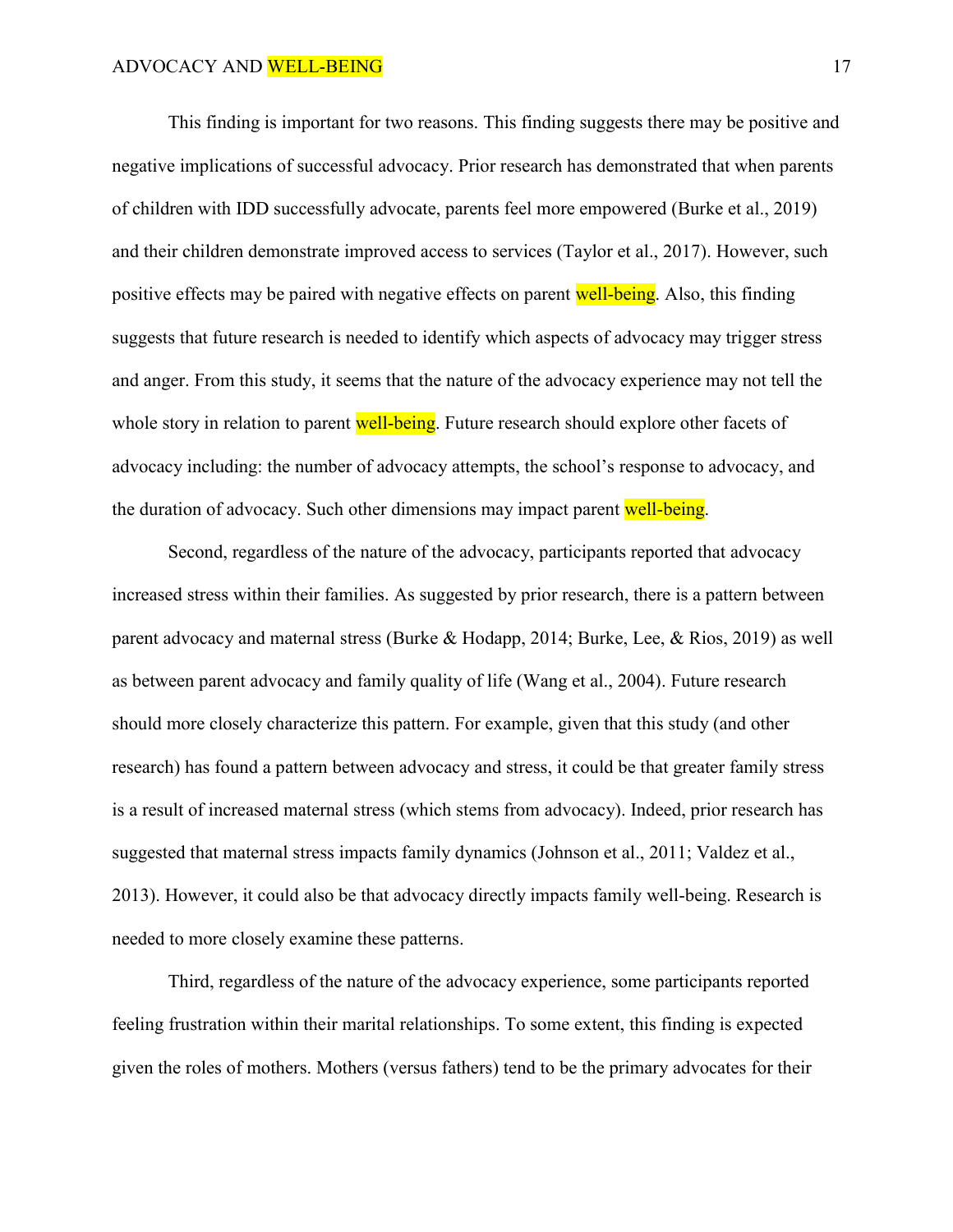This finding is important for two reasons. This finding suggests there may be positive and negative implications of successful advocacy. Prior research has demonstrated that when parents of children with IDD successfully advocate, parents feel more empowered (Burke et al., 2019) and their children demonstrate improved access to services (Taylor et al., 2017). However, such positive effects may be paired with negative effects on parent well-being. Also, this finding suggests that future research is needed to identify which aspects of advocacy may trigger stress and anger. From this study, it seems that the nature of the advocacy experience may not tell the whole story in relation to parent well-being. Future research should explore other facets of advocacy including: the number of advocacy attempts, the school's response to advocacy, and the duration of advocacy. Such other dimensions may impact parent well-being.

Second, regardless of the nature of the advocacy, participants reported that advocacy increased stress within their families. As suggested by prior research, there is a pattern between parent advocacy and maternal stress (Burke & Hodapp, 2014; Burke, Lee, & Rios, 2019) as well as between parent advocacy and family quality of life (Wang et al., 2004). Future research should more closely characterize this pattern. For example, given that this study (and other research) has found a pattern between advocacy and stress, it could be that greater family stress is a result of increased maternal stress (which stems from advocacy). Indeed, prior research has suggested that maternal stress impacts family dynamics (Johnson et al., 2011; Valdez et al., 2013). However, it could also be that advocacy directly impacts family well-being. Research is needed to more closely examine these patterns.

Third, regardless of the nature of the advocacy experience, some participants reported feeling frustration within their marital relationships. To some extent, this finding is expected given the roles of mothers. Mothers (versus fathers) tend to be the primary advocates for their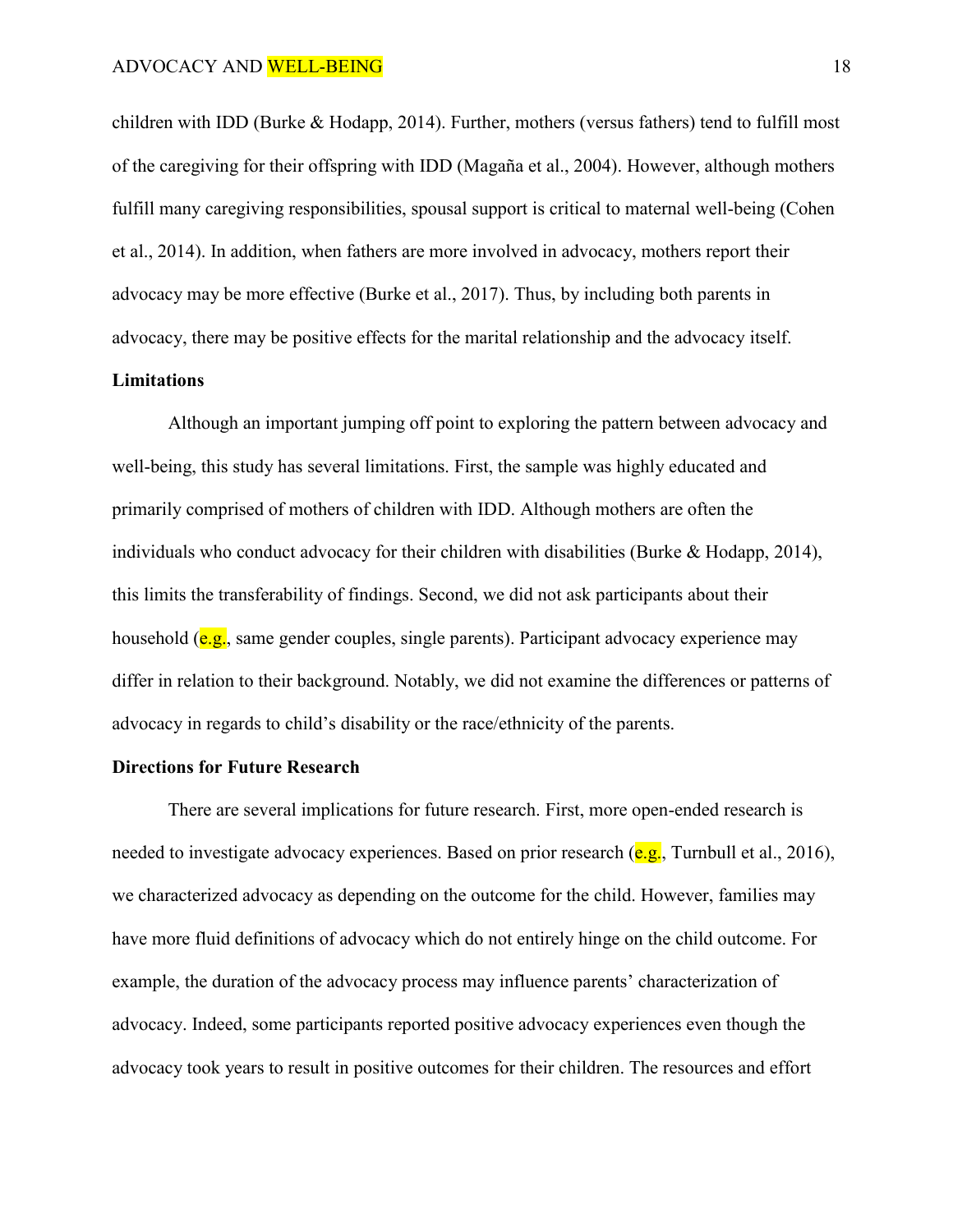children with IDD (Burke & Hodapp, 2014). Further, mothers (versus fathers) tend to fulfill most of the caregiving for their offspring with IDD (Magaña et al., 2004). However, although mothers fulfill many caregiving responsibilities, spousal support is critical to maternal well-being (Cohen et al., 2014). In addition, when fathers are more involved in advocacy, mothers report their advocacy may be more effective (Burke et al., 2017). Thus, by including both parents in advocacy, there may be positive effects for the marital relationship and the advocacy itself.

## **Limitations**

Although an important jumping off point to exploring the pattern between advocacy and well-being, this study has several limitations. First, the sample was highly educated and primarily comprised of mothers of children with IDD. Although mothers are often the individuals who conduct advocacy for their children with disabilities (Burke  $&$  Hodapp, 2014), this limits the transferability of findings. Second, we did not ask participants about their household ( $e.g.,$  same gender couples, single parents). Participant advocacy experience may differ in relation to their background. Notably, we did not examine the differences or patterns of advocacy in regards to child's disability or the race/ethnicity of the parents.

## **Directions for Future Research**

There are several implications for future research. First, more open-ended research is needed to investigate advocacy experiences. Based on prior research  $(e.g.,$  Turnbull et al., 2016), we characterized advocacy as depending on the outcome for the child. However, families may have more fluid definitions of advocacy which do not entirely hinge on the child outcome. For example, the duration of the advocacy process may influence parents' characterization of advocacy. Indeed, some participants reported positive advocacy experiences even though the advocacy took years to result in positive outcomes for their children. The resources and effort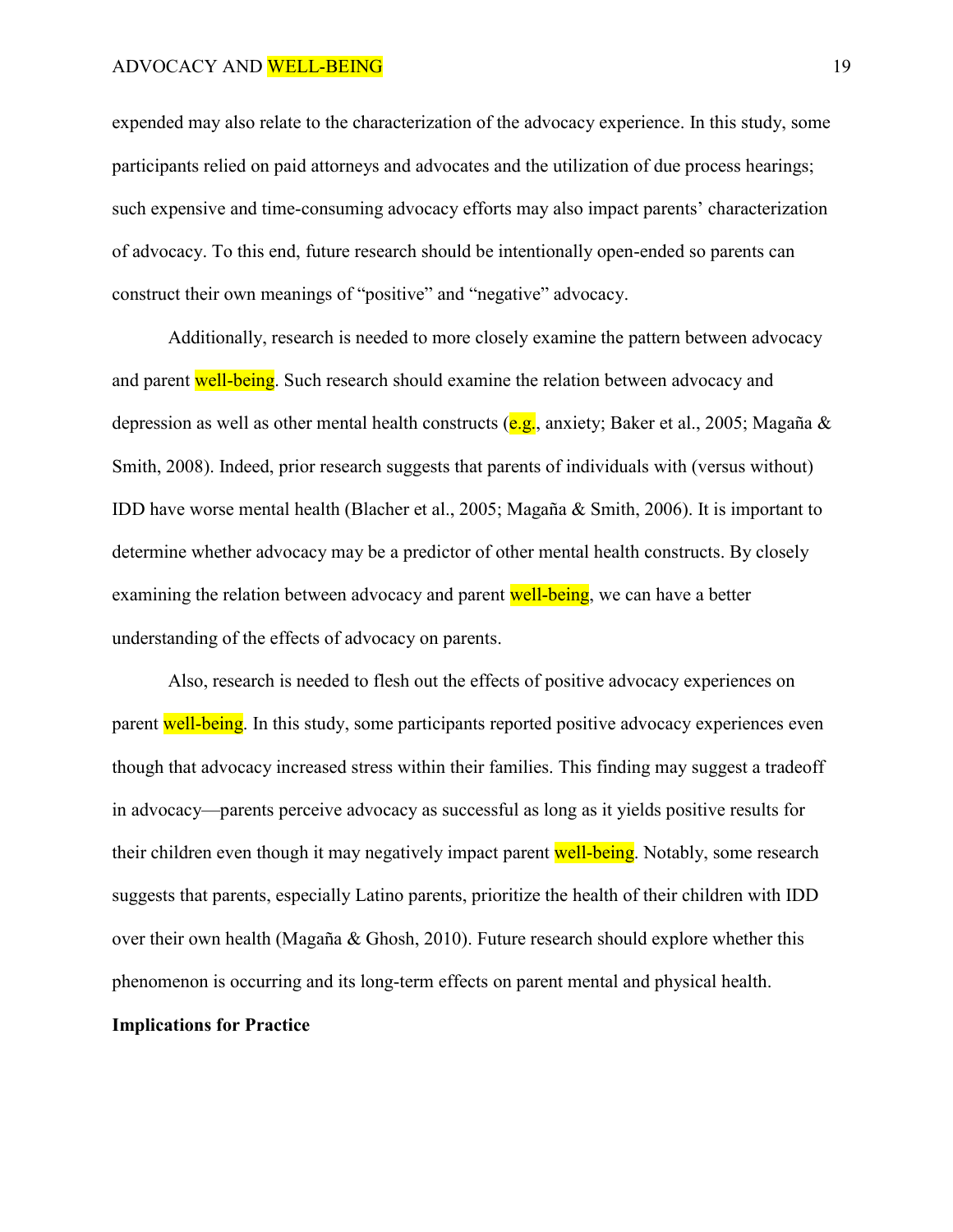expended may also relate to the characterization of the advocacy experience. In this study, some participants relied on paid attorneys and advocates and the utilization of due process hearings; such expensive and time-consuming advocacy efforts may also impact parents' characterization of advocacy. To this end, future research should be intentionally open-ended so parents can construct their own meanings of "positive" and "negative" advocacy.

Additionally, research is needed to more closely examine the pattern between advocacy and parent well-being. Such research should examine the relation between advocacy and depression as well as other mental health constructs ( $e.g.,$  anxiety; Baker et al., 2005; Magaña  $\&$ Smith, 2008). Indeed, prior research suggests that parents of individuals with (versus without) IDD have worse mental health (Blacher et al., 2005; Magaña & Smith, 2006). It is important to determine whether advocacy may be a predictor of other mental health constructs. By closely examining the relation between advocacy and parent well-being, we can have a better understanding of the effects of advocacy on parents.

Also, research is needed to flesh out the effects of positive advocacy experiences on parent well-being. In this study, some participants reported positive advocacy experiences even though that advocacy increased stress within their families. This finding may suggest a tradeoff in advocacy—parents perceive advocacy as successful as long as it yields positive results for their children even though it may negatively impact parent well-being. Notably, some research suggests that parents, especially Latino parents, prioritize the health of their children with IDD over their own health (Magaña & Ghosh, 2010). Future research should explore whether this phenomenon is occurring and its long-term effects on parent mental and physical health. **Implications for Practice**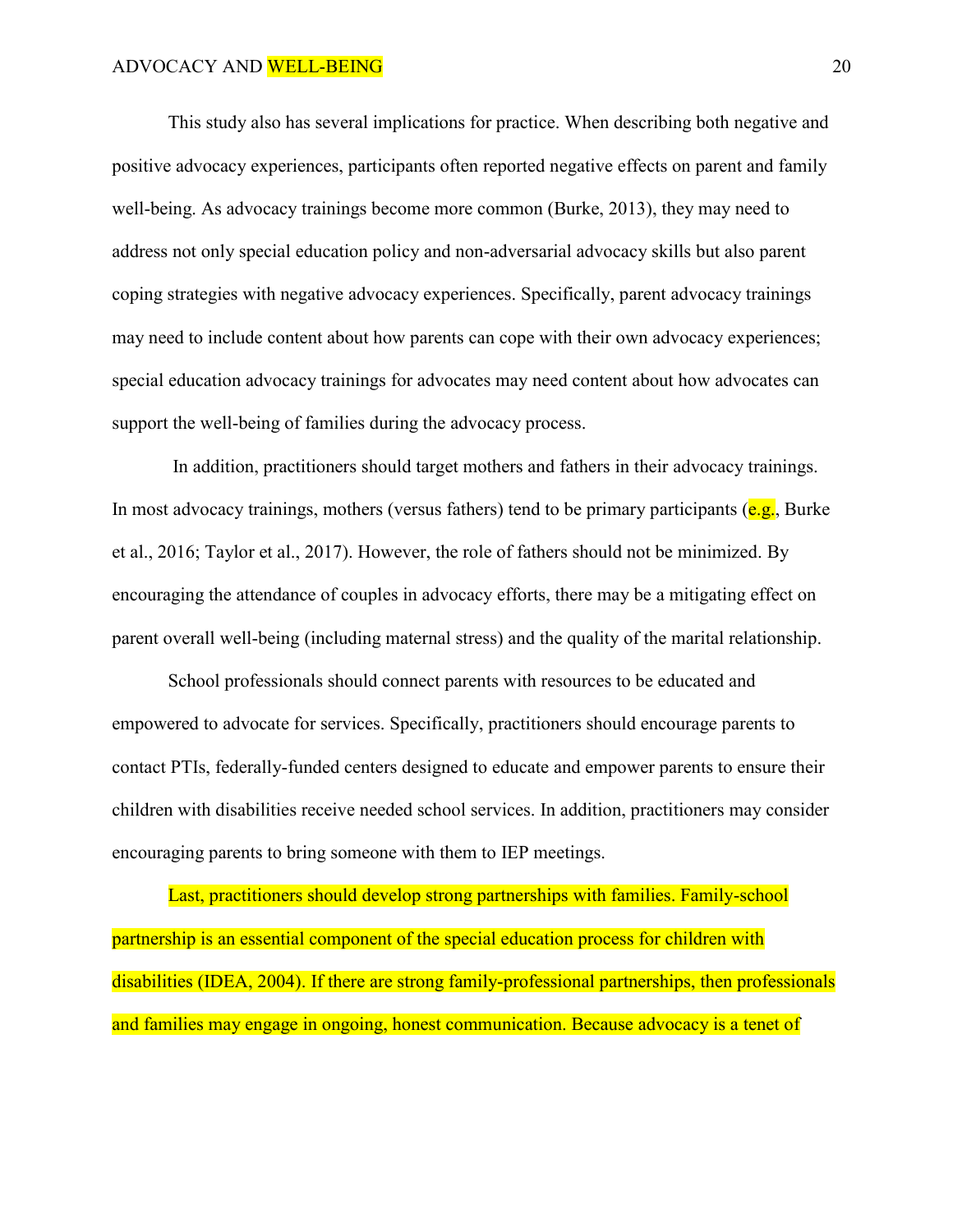This study also has several implications for practice. When describing both negative and positive advocacy experiences, participants often reported negative effects on parent and family well-being. As advocacy trainings become more common (Burke, 2013), they may need to address not only special education policy and non-adversarial advocacy skills but also parent coping strategies with negative advocacy experiences. Specifically, parent advocacy trainings may need to include content about how parents can cope with their own advocacy experiences; special education advocacy trainings for advocates may need content about how advocates can support the well-being of families during the advocacy process.

In addition, practitioners should target mothers and fathers in their advocacy trainings. In most advocacy trainings, mothers (versus fathers) tend to be primary participants ( $e.g.,$  Burke et al., 2016; Taylor et al., 2017). However, the role of fathers should not be minimized. By encouraging the attendance of couples in advocacy efforts, there may be a mitigating effect on parent overall well-being (including maternal stress) and the quality of the marital relationship.

School professionals should connect parents with resources to be educated and empowered to advocate for services. Specifically, practitioners should encourage parents to contact PTIs, federally-funded centers designed to educate and empower parents to ensure their children with disabilities receive needed school services. In addition, practitioners may consider encouraging parents to bring someone with them to IEP meetings.

Last, practitioners should develop strong partnerships with families. Family-school partnership is an essential component of the special education process for children with disabilities (IDEA, 2004). If there are strong family-professional partnerships, then professionals and families may engage in ongoing, honest communication. Because advocacy is a tenet of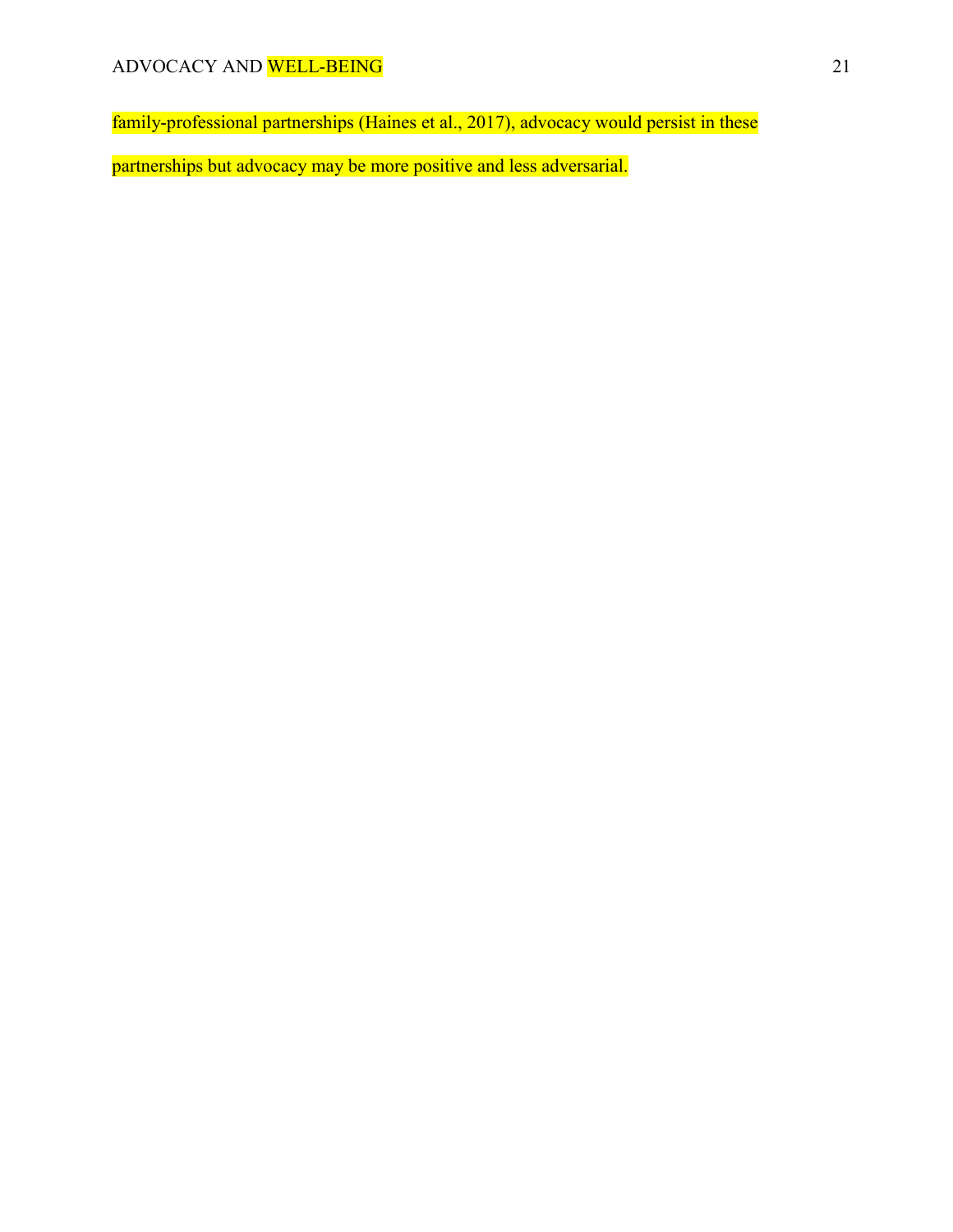family-professional partnerships (Haines et al., 2017), advocacy would persist in these

partnerships but advocacy may be more positive and less adversarial.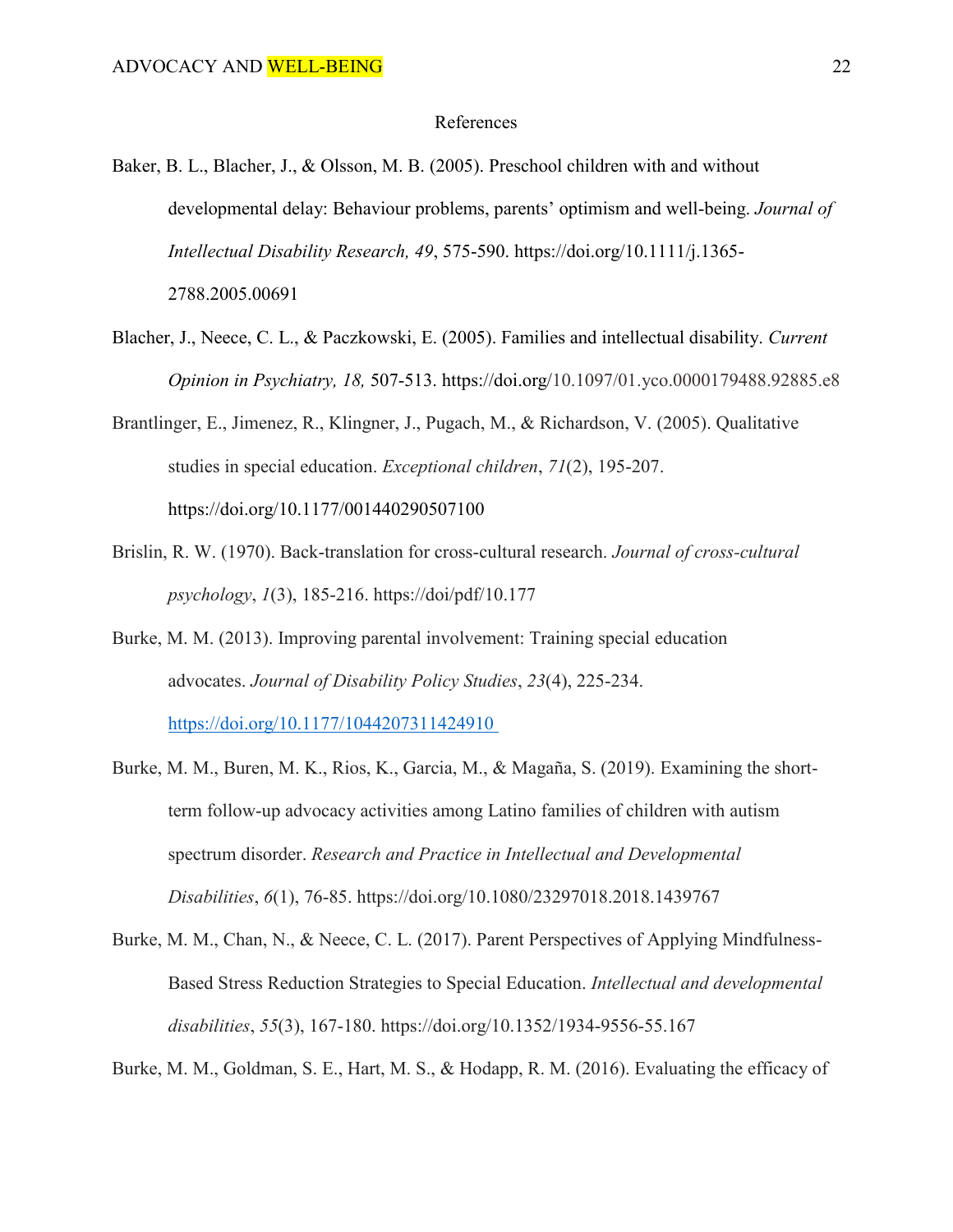## References

- Baker, B. L., Blacher, J., & Olsson, M. B. (2005). Preschool children with and without developmental delay: Behaviour problems, parents' optimism and well-being. *Journal of Intellectual Disability Research, 49*, 575-590. https://doi.org/10.1111/j.1365- 2788.2005.00691
- Blacher, J., Neece, C. L., & Paczkowski, E. (2005). Families and intellectual disability. *Current Opinion in Psychiatry, 18,* 507-513. https://doi.org/10.1097/01.yco.0000179488.92885.e8
- Brantlinger, E., Jimenez, R., Klingner, J., Pugach, M., & Richardson, V. (2005). Qualitative studies in special education. *Exceptional children*, *71*(2), 195-207. https://doi.org/10.1177/001440290507100
- Brislin, R. W. (1970). Back-translation for cross-cultural research. *Journal of cross-cultural psychology*, *1*(3), 185-216. https://doi/pdf/10.177
- Burke, M. M. (2013). Improving parental involvement: Training special education advocates. *Journal of Disability Policy Studies*, *23*(4), 225-234. https://doi.org/10.1177/1044207311424910
- Burke, M. M., Buren, M. K., Rios, K., Garcia, M., & Magaña, S. (2019). Examining the shortterm follow-up advocacy activities among Latino families of children with autism spectrum disorder. *Research and Practice in Intellectual and Developmental Disabilities*, *6*(1), 76-85. https://doi.org/10.1080/23297018.2018.1439767
- Burke, M. M., Chan, N., & Neece, C. L. (2017). Parent Perspectives of Applying Mindfulness-Based Stress Reduction Strategies to Special Education. *Intellectual and developmental disabilities*, *55*(3), 167-180. https://doi.org/10.1352/1934-9556-55.167

Burke, M. M., Goldman, S. E., Hart, M. S., & Hodapp, R. M. (2016). Evaluating the efficacy of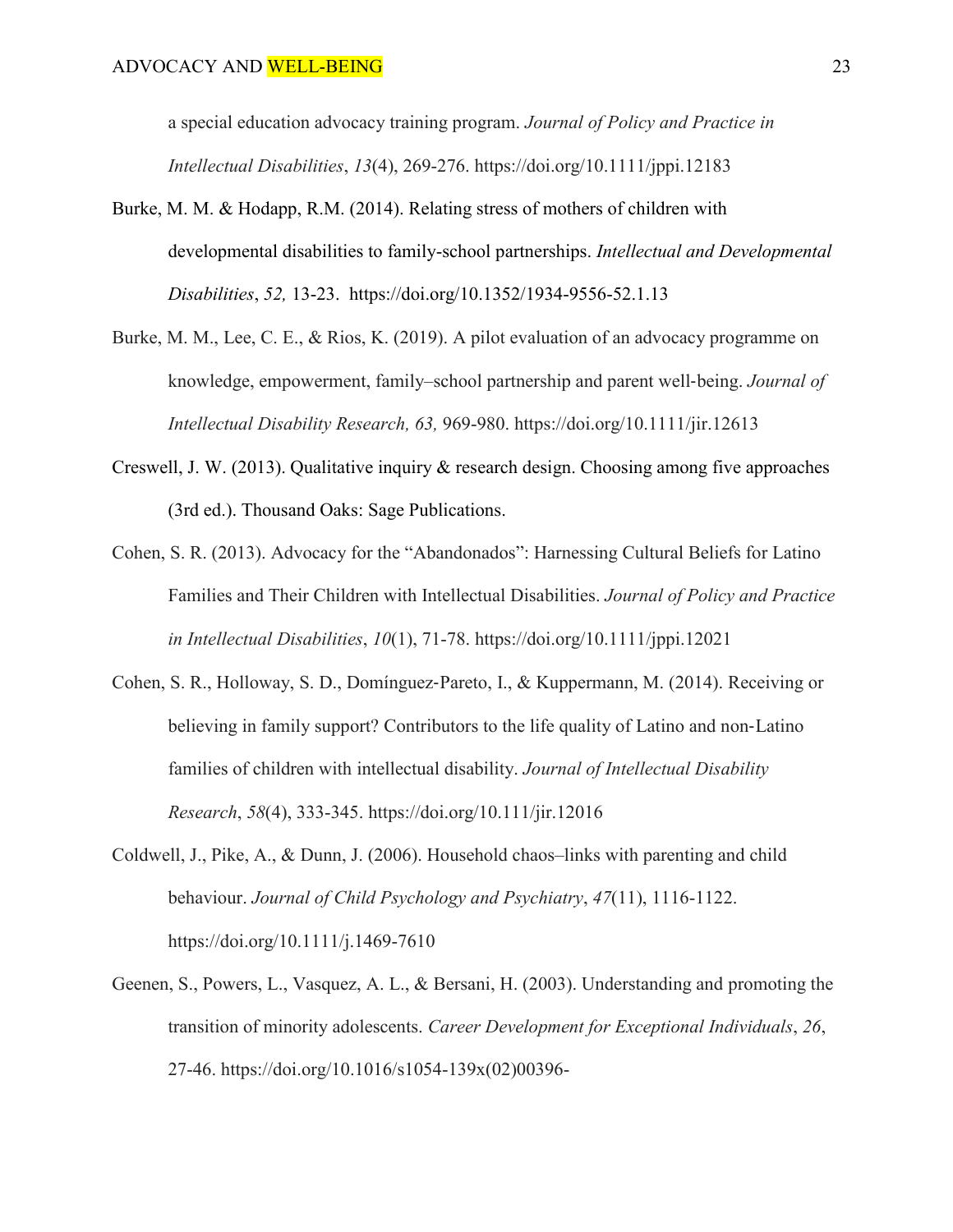a special education advocacy training program. *Journal of Policy and Practice in Intellectual Disabilities*, *13*(4), 269-276. https://doi.org/10.1111/jppi.12183

- Burke, M. M. & Hodapp, R.M. (2014). Relating stress of mothers of children with developmental disabilities to family-school partnerships. *Intellectual and Developmental Disabilities*, *52,* 13-23. https://doi.org/10.1352/1934-9556-52.1.13
- Burke, M. M., Lee, C. E., & Rios, K. (2019). A pilot evaluation of an advocacy programme on knowledge, empowerment, family–school partnership and parent well‐being. *Journal of Intellectual Disability Research, 63,* 969-980. https://doi.org/10.1111/jir.12613
- Creswell, J. W. (2013). Qualitative inquiry & research design. Choosing among five approaches (3rd ed.). Thousand Oaks: Sage Publications.
- Cohen, S. R. (2013). Advocacy for the "Abandonados": Harnessing Cultural Beliefs for Latino Families and Their Children with Intellectual Disabilities. *Journal of Policy and Practice in Intellectual Disabilities*, *10*(1), 71-78. https://doi.org/10.1111/jppi.12021
- Cohen, S. R., Holloway, S. D., Domínguez‐Pareto, I., & Kuppermann, M. (2014). Receiving or believing in family support? Contributors to the life quality of Latino and non‐Latino families of children with intellectual disability. *Journal of Intellectual Disability Research*, *58*(4), 333-345. https://doi.org/10.111/jir.12016
- Coldwell, J., Pike, A., & Dunn, J. (2006). Household chaos–links with parenting and child behaviour. *Journal of Child Psychology and Psychiatry*, *47*(11), 1116-1122. https://doi.org/10.1111/j.1469-7610
- Geenen, S., Powers, L., Vasquez, A. L., & Bersani, H. (2003). Understanding and promoting the transition of minority adolescents. *Career Development for Exceptional Individuals*, *26*, 27-46. https://doi.org/10.1016/s1054-139x(02)00396-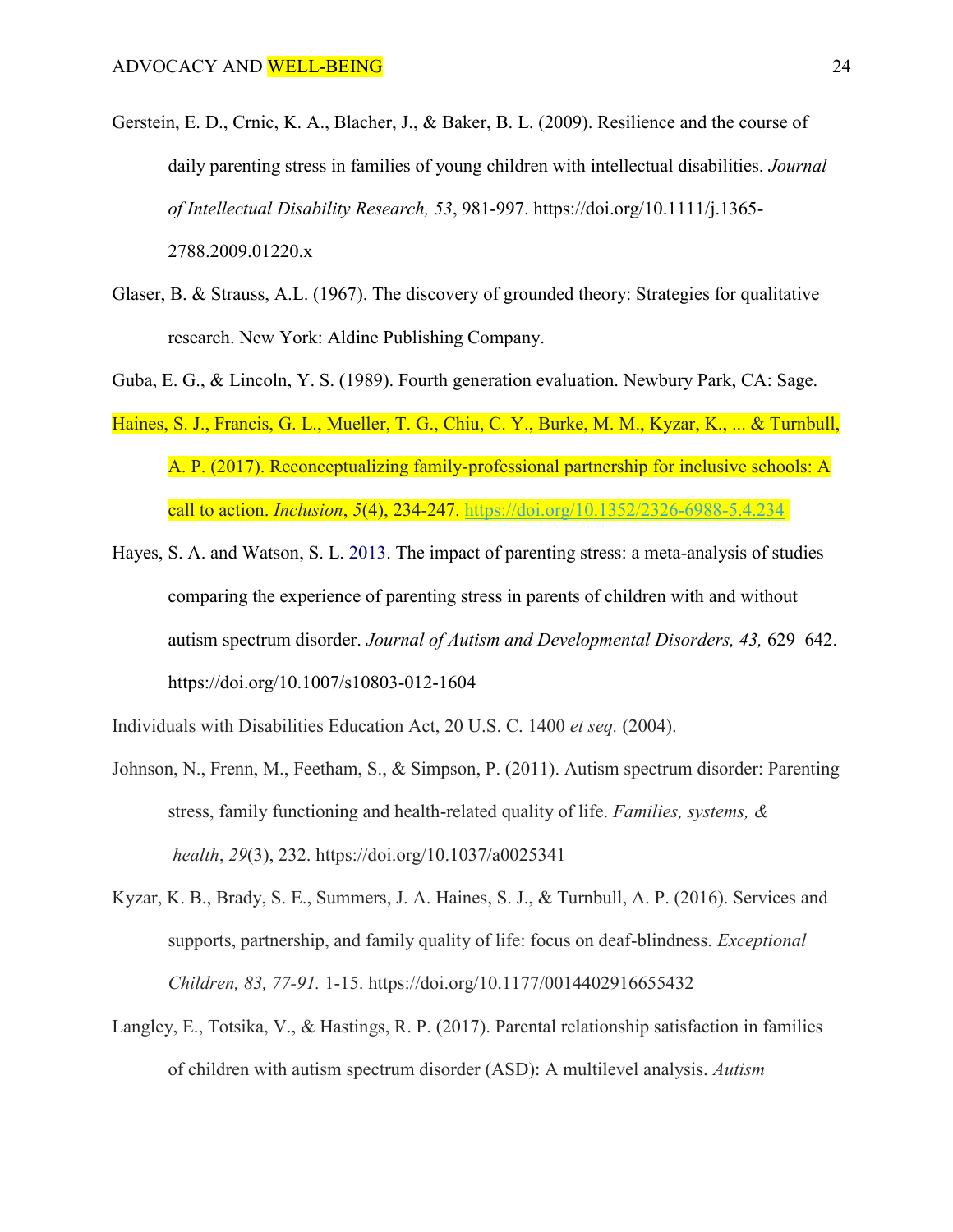- Gerstein, E. D., Crnic, K. A., Blacher, J., & Baker, B. L. (2009). Resilience and the course of daily parenting stress in families of young children with intellectual disabilities. *Journal of Intellectual Disability Research, 53*, 981-997. https://doi.org/10.1111/j.1365- 2788.2009.01220.x
- Glaser, B. & Strauss, A.L. (1967). The discovery of grounded theory: Strategies for qualitative research. New York: Aldine Publishing Company.
- Guba, E. G., & Lincoln, Y. S. (1989). Fourth generation evaluation. Newbury Park, CA: Sage.
- Haines, S. J., Francis, G. L., Mueller, T. G., Chiu, C. Y., Burke, M. M., Kyzar, K., ... & Turnbull, A. P. (2017). Reconceptualizing family-professional partnership for inclusive schools: A call to action. *Inclusion*, *5*(4), 234-247. <https://doi.org/10.1352/2326-6988-5.4.234>
- Hayes, S. A. and Watson, S. L. 2013. The impact of parenting stress: a meta-analysis of studies comparing the experience of parenting stress in parents of children with and without autism spectrum disorder. *Journal of Autism and Developmental Disorders, 43,* 629–642. https://doi.org/10.1007/s10803-012-1604

Individuals with Disabilities Education Act, 20 U.S. C. 1400 *et seq.* (2004).

- Johnson, N., Frenn, M., Feetham, S., & Simpson, P. (2011). Autism spectrum disorder: Parenting stress, family functioning and health-related quality of life. *Families, systems, & health*, *29*(3), 232. https://doi.org/10.1037/a0025341
- Kyzar, K. B., Brady, S. E., Summers, J. A. Haines, S. J., & Turnbull, A. P. (2016). Services and supports, partnership, and family quality of life: focus on deaf-blindness. *Exceptional Children, 83, 77-91.* 1-15. https://doi.org/10.1177/0014402916655432
- Langley, E., Totsika, V., & Hastings, R. P. (2017). Parental relationship satisfaction in families of children with autism spectrum disorder (ASD): A multilevel analysis. *Autism*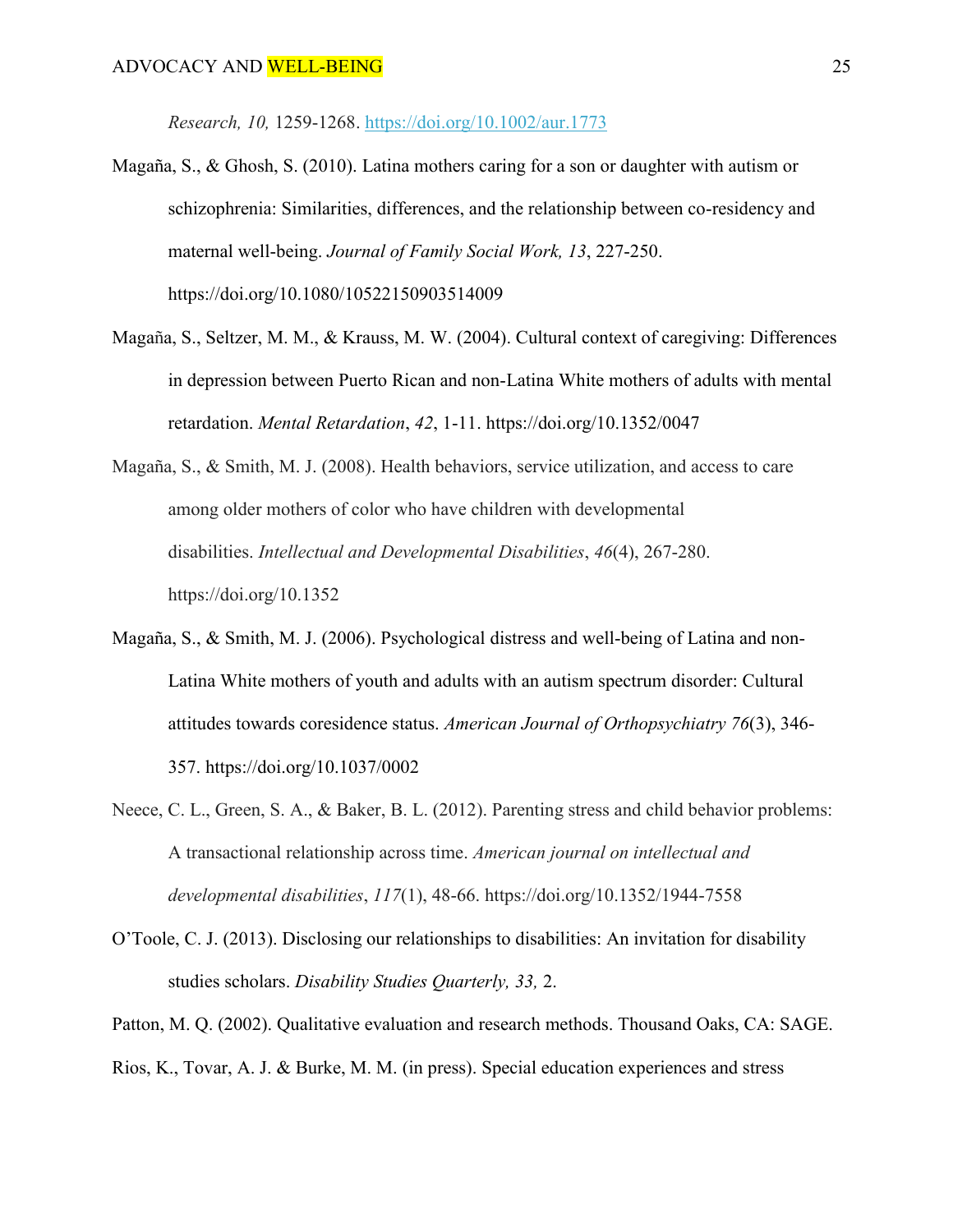*Research, 10,* 1259-1268.<https://doi.org/10.1002/aur.1773>

- Magaña, S., & Ghosh, S. (2010). Latina mothers caring for a son or daughter with autism or schizophrenia: Similarities, differences, and the relationship between co-residency and maternal well-being. *Journal of Family Social Work, 13*, 227-250. https://doi.org/10.1080/10522150903514009
- Magaña, S., Seltzer, M. M., & Krauss, M. W. (2004). Cultural context of caregiving: Differences in depression between Puerto Rican and non-Latina White mothers of adults with mental retardation. *Mental Retardation*, *42*, 1-11. https://doi.org/10.1352/0047
- Magaña, S., & Smith, M. J. (2008). Health behaviors, service utilization, and access to care among older mothers of color who have children with developmental disabilities. *Intellectual and Developmental Disabilities*, *46*(4), 267-280. https://doi.org/10.1352
- Magaña, S., & Smith, M. J. (2006). Psychological distress and well-being of Latina and non-Latina White mothers of youth and adults with an autism spectrum disorder: Cultural attitudes towards coresidence status. *American Journal of Orthopsychiatry 76*(3), 346- 357. https://doi.org/10.1037/0002
- Neece, C. L., Green, S. A., & Baker, B. L. (2012). Parenting stress and child behavior problems: A transactional relationship across time. *American journal on intellectual and developmental disabilities*, *117*(1), 48-66. https://doi.org/10.1352/1944-7558
- O'Toole, C. J. (2013). Disclosing our relationships to disabilities: An invitation for disability studies scholars. *Disability Studies Quarterly, 33,* 2.

Patton, M. Q. (2002). Qualitative evaluation and research methods. Thousand Oaks, CA: SAGE.

Rios, K., Tovar, A. J. & Burke, M. M. (in press). Special education experiences and stress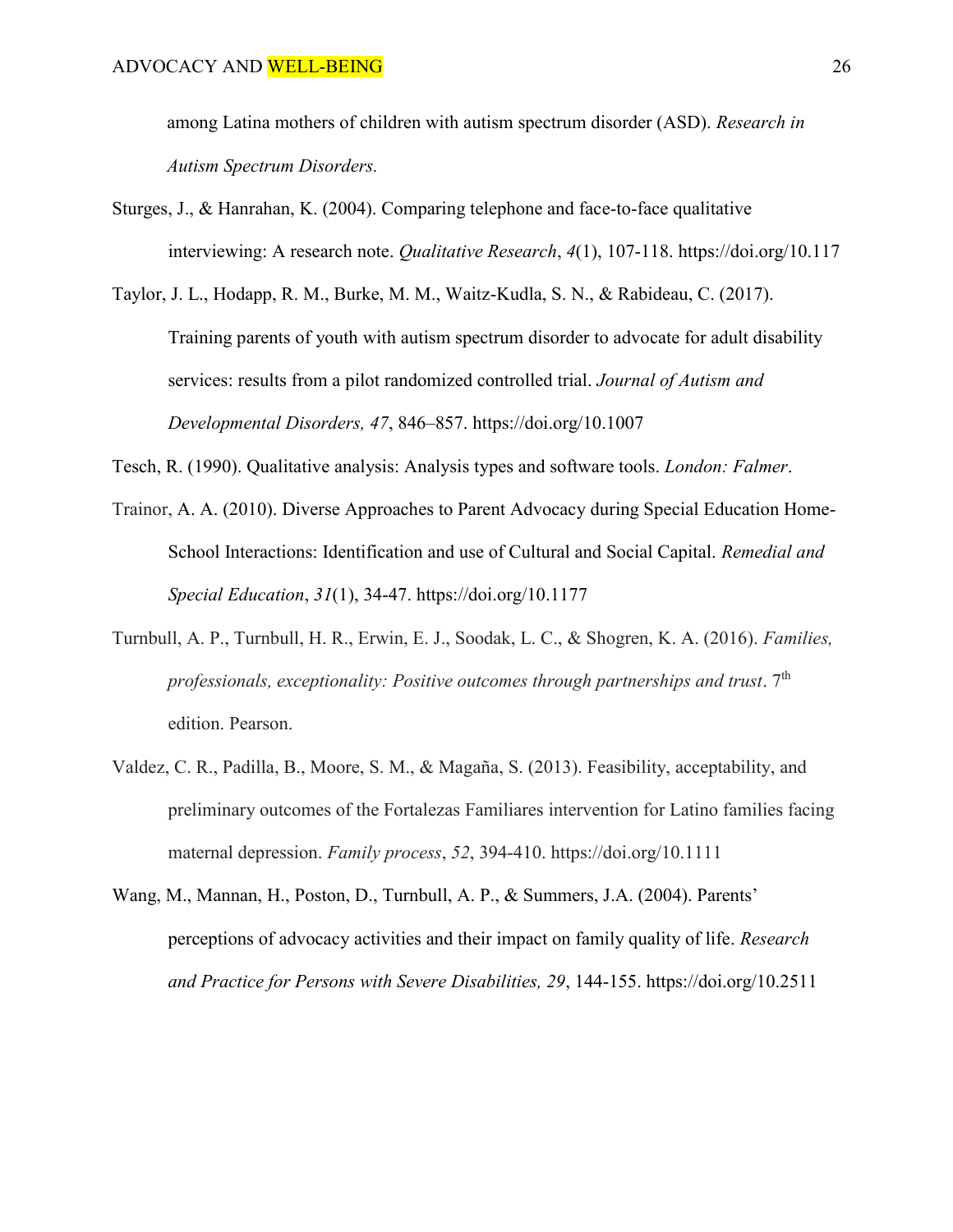among Latina mothers of children with autism spectrum disorder (ASD). *Research in Autism Spectrum Disorders.* 

- Sturges, J., & Hanrahan, K. (2004). Comparing telephone and face-to-face qualitative interviewing: A research note. *Qualitative Research*, *4*(1), 107-118. https://doi.org/10.117
- Taylor, J. L., Hodapp, R. M., Burke, M. M., Waitz-Kudla, S. N., & Rabideau, C. (2017). Training parents of youth with autism spectrum disorder to advocate for adult disability services: results from a pilot randomized controlled trial. *Journal of Autism and Developmental Disorders, 47*, 846–857. https://doi.org/10.1007

Tesch, R. (1990). Qualitative analysis: Analysis types and software tools. *London: Falmer*.

- Trainor, A. A. (2010). Diverse Approaches to Parent Advocacy during Special Education Home-School Interactions: Identification and use of Cultural and Social Capital. *Remedial and Special Education*, *31*(1), 34-47. https://doi.org/10.1177
- Turnbull, A. P., Turnbull, H. R., Erwin, E. J., Soodak, L. C., & Shogren, K. A. (2016). *Families, professionals, exceptionality: Positive outcomes through partnerships and trust.* 7<sup>th</sup> edition. Pearson.
- Valdez, C. R., Padilla, B., Moore, S. M., & Magaña, S. (2013). Feasibility, acceptability, and preliminary outcomes of the Fortalezas Familiares intervention for Latino families facing maternal depression. *Family process*, *52*, 394-410. https://doi.org/10.1111
- Wang, M., Mannan, H., Poston, D., Turnbull, A. P., & Summers, J.A. (2004). Parents' perceptions of advocacy activities and their impact on family quality of life. *Research and Practice for Persons with Severe Disabilities, 29*, 144-155. https://doi.org/10.2511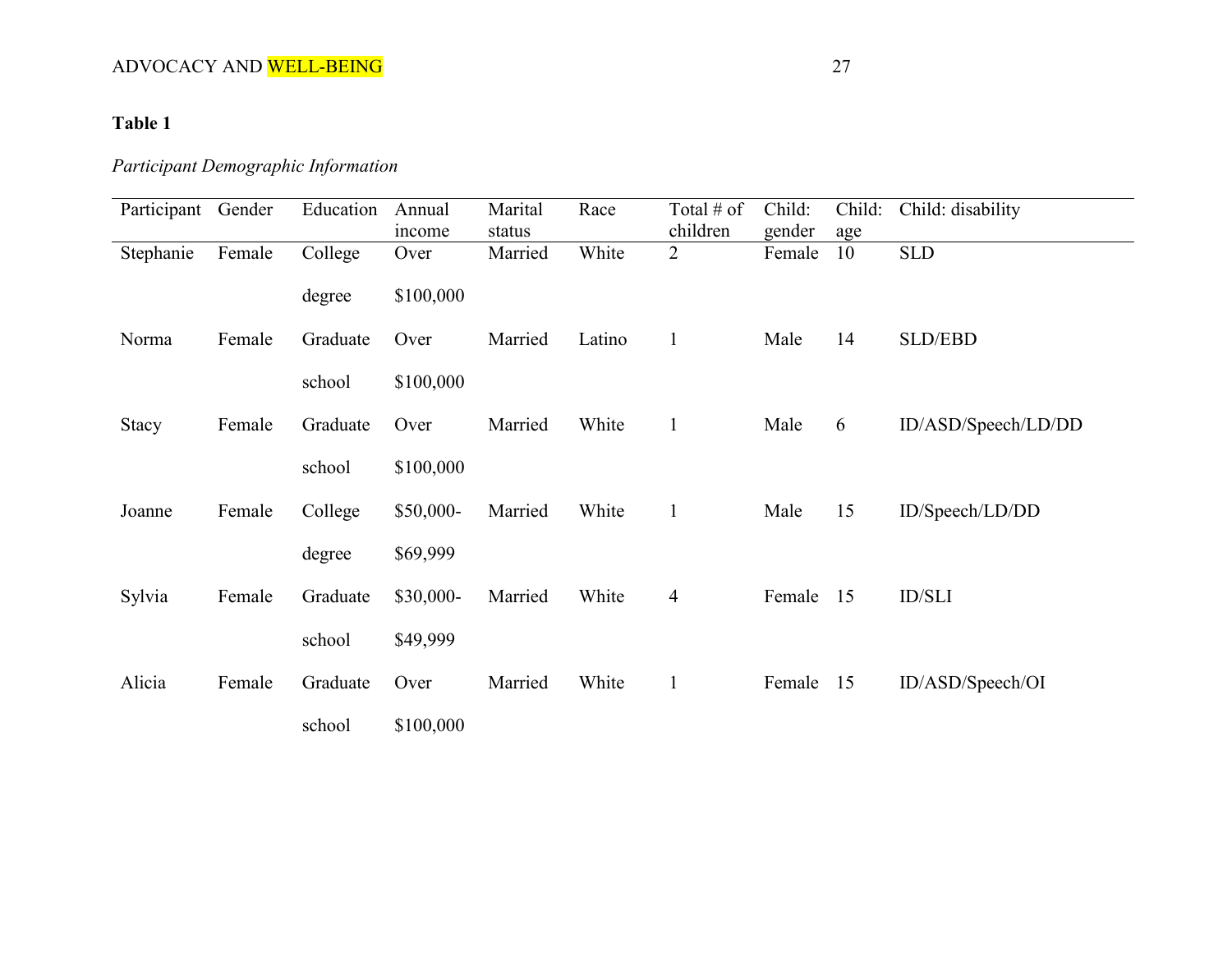# **Table 1**

# *Participant Demographic Information*

| Participant  | Gender | Education | Annual<br>income | Marital<br>status | Race   | Total $#$ of<br>children | Child:<br>gender | Child:<br>age | Child: disability   |
|--------------|--------|-----------|------------------|-------------------|--------|--------------------------|------------------|---------------|---------------------|
| Stephanie    | Female | College   | Over             | Married           | White  | $\overline{2}$           | Female           | 10            | <b>SLD</b>          |
|              |        | degree    | \$100,000        |                   |        |                          |                  |               |                     |
| Norma        | Female | Graduate  | Over             | Married           | Latino | $\mathbf{1}$             | Male             | 14            | <b>SLD/EBD</b>      |
|              |        | school    | \$100,000        |                   |        |                          |                  |               |                     |
| <b>Stacy</b> | Female | Graduate  | Over             | Married           | White  | $\mathbf{1}$             | Male             | 6             | ID/ASD/Speech/LD/DD |
|              |        | school    | \$100,000        |                   |        |                          |                  |               |                     |
| Joanne       | Female | College   | \$50,000-        | Married           | White  | $\mathbf{1}$             | Male             | 15            | ID/Speech/LD/DD     |
|              |        | degree    | \$69,999         |                   |        |                          |                  |               |                     |
| Sylvia       | Female | Graduate  | $$30,000-$       | Married           | White  | $\overline{4}$           | Female           | 15            | <b>ID/SLI</b>       |
|              |        | school    | \$49,999         |                   |        |                          |                  |               |                     |
| Alicia       | Female | Graduate  | Over             | Married           | White  | $\mathbf{1}$             | Female           | 15            | ID/ASD/Speech/OI    |
|              |        | school    | \$100,000        |                   |        |                          |                  |               |                     |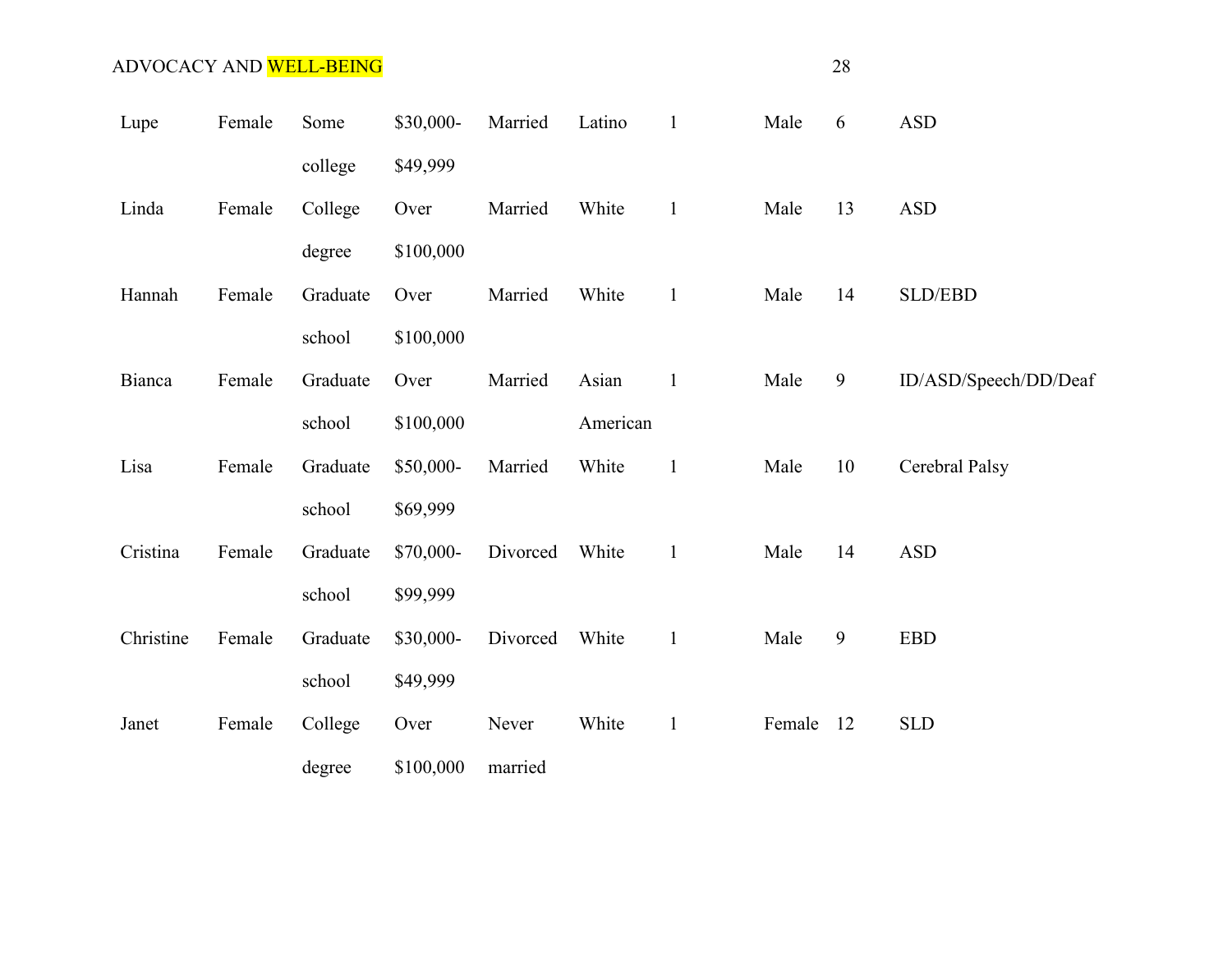| Lupe      | Female | Some     | \$30,000- | Married  | Latino   | $\mathbf{1}$ | Male   | 6                | <b>ASD</b>                  |
|-----------|--------|----------|-----------|----------|----------|--------------|--------|------------------|-----------------------------|
|           |        | college  | \$49,999  |          |          |              |        |                  |                             |
| Linda     | Female | College  | Over      | Married  | White    | $\mathbf{1}$ | Male   | 13               | <b>ASD</b>                  |
|           |        | degree   | \$100,000 |          |          |              |        |                  |                             |
| Hannah    | Female | Graduate | Over      | Married  | White    | $\mathbf{1}$ | Male   | 14               | <b>SLD/EBD</b>              |
|           |        | school   | \$100,000 |          |          |              |        |                  |                             |
| Bianca    | Female | Graduate | Over      | Married  | Asian    | $\mathbf{1}$ | Male   | 9                | ID/ASD/Speech/DD/Deaf       |
|           |        | school   | \$100,000 |          | American |              |        |                  |                             |
| Lisa      | Female | Graduate | \$50,000- | Married  | White    | $\mathbf{1}$ | Male   | 10               | Cerebral Palsy              |
|           |        | school   | \$69,999  |          |          |              |        |                  |                             |
| Cristina  | Female | Graduate | \$70,000- | Divorced | White    | $\mathbf{1}$ | Male   | 14               | <b>ASD</b>                  |
|           |        | school   | \$99,999  |          |          |              |        |                  |                             |
| Christine | Female | Graduate | \$30,000- | Divorced | White    | $\mathbf{1}$ | Male   | $\boldsymbol{9}$ | $\ensuremath{\mathsf{EBD}}$ |
|           |        | school   | \$49,999  |          |          |              |        |                  |                             |
| Janet     | Female | College  | Over      | Never    | White    | $\mathbf{1}$ | Female | 12               | <b>SLD</b>                  |
|           |        | degree   | \$100,000 | married  |          |              |        |                  |                             |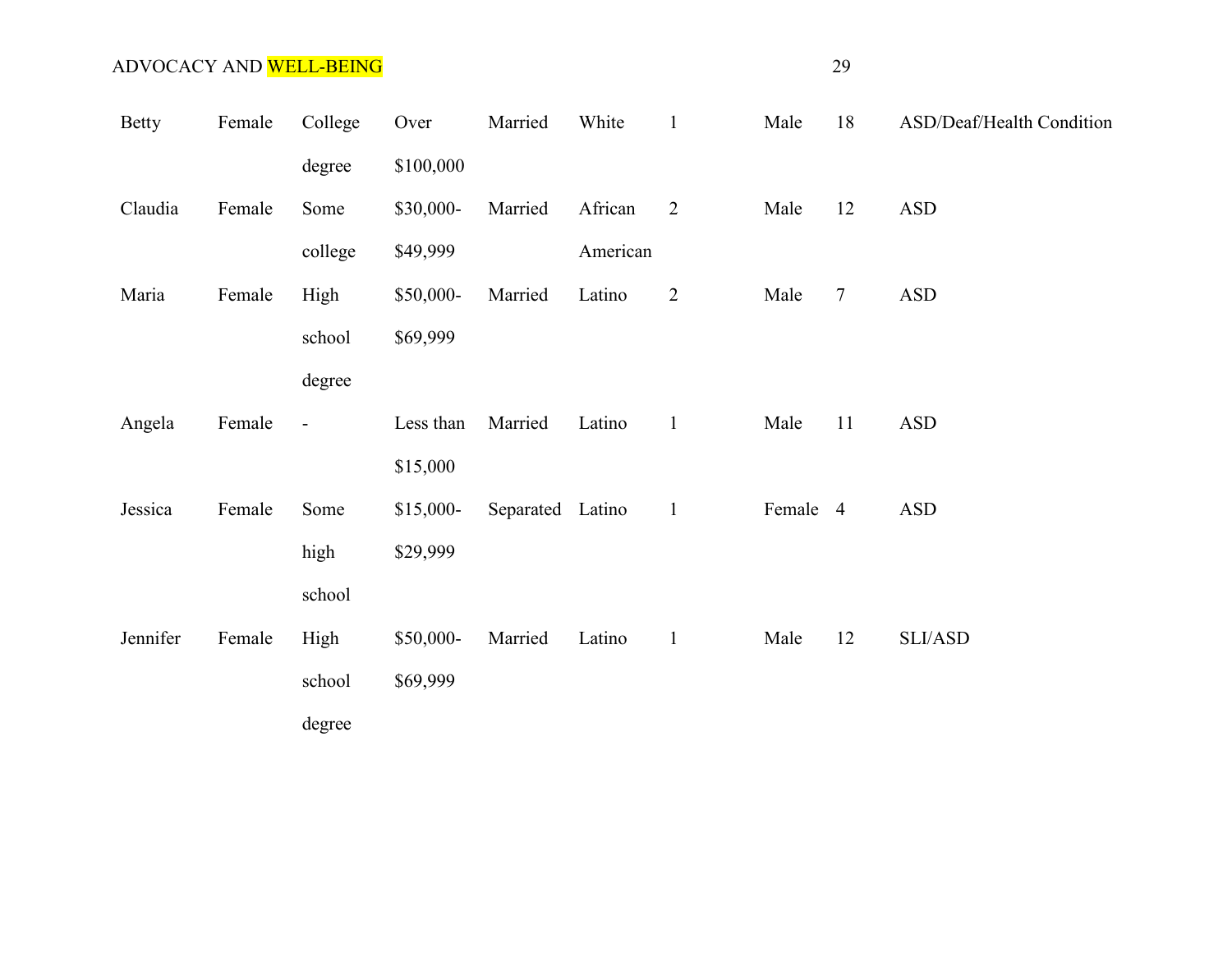| <b>Betty</b> | Female | College        | Over       | Married          | White    | $\mathbf{1}$   | Male     | 18              | ASD/Deaf/Health Condition |
|--------------|--------|----------------|------------|------------------|----------|----------------|----------|-----------------|---------------------------|
|              |        | degree         | \$100,000  |                  |          |                |          |                 |                           |
| Claudia      | Female | Some           | \$30,000-  | Married          | African  | $\overline{2}$ | Male     | 12              | <b>ASD</b>                |
|              |        | college        | \$49,999   |                  | American |                |          |                 |                           |
| Maria        | Female | High           | \$50,000-  | Married          | Latino   | $\overline{2}$ | Male     | $7\phantom{.0}$ | <b>ASD</b>                |
|              |        | school         | \$69,999   |                  |          |                |          |                 |                           |
|              |        | degree         |            |                  |          |                |          |                 |                           |
| Angela       | Female | $\blacksquare$ | Less than  | Married          | Latino   | $\mathbf{1}$   | Male     | 11              | <b>ASD</b>                |
|              |        |                | \$15,000   |                  |          |                |          |                 |                           |
| Jessica      | Female | Some           | $$15,000-$ | Separated Latino |          | $\overline{1}$ | Female 4 |                 | <b>ASD</b>                |
|              |        | high           | \$29,999   |                  |          |                |          |                 |                           |
|              |        | school         |            |                  |          |                |          |                 |                           |
| Jennifer     | Female | High           | \$50,000-  | Married          | Latino   | $\mathbf{1}$   | Male     | 12              | SLI/ASD                   |
|              |        | school         | \$69,999   |                  |          |                |          |                 |                           |
|              |        | degree         |            |                  |          |                |          |                 |                           |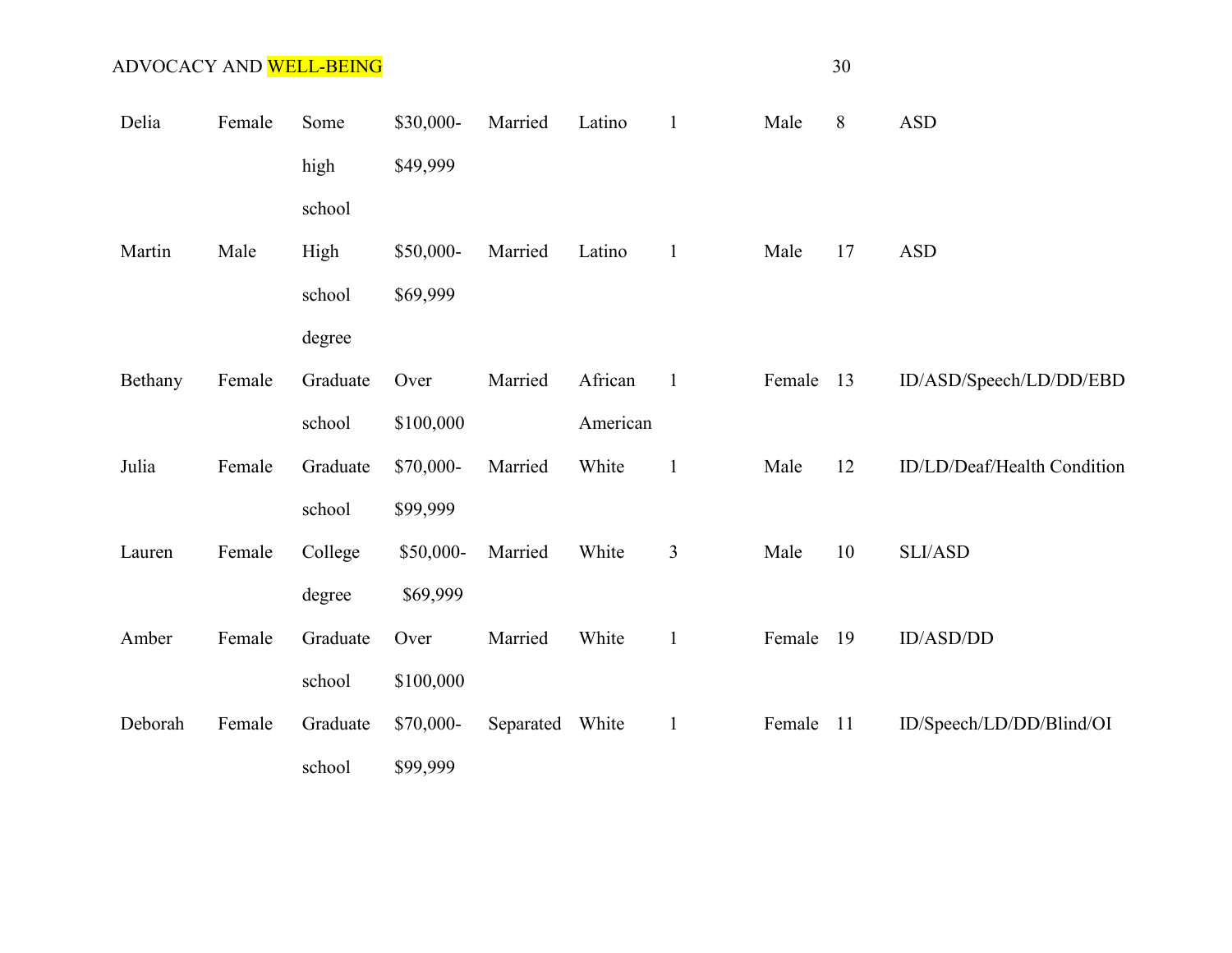| Delia   | Female | Some     | \$30,000- | Married         | Latino   | $\mathbf{1}$   | Male   | 8   | <b>ASD</b>                  |
|---------|--------|----------|-----------|-----------------|----------|----------------|--------|-----|-----------------------------|
|         |        | high     | \$49,999  |                 |          |                |        |     |                             |
|         |        | school   |           |                 |          |                |        |     |                             |
| Martin  | Male   | High     | \$50,000- | Married         | Latino   | $\mathbf{1}$   | Male   | 17  | <b>ASD</b>                  |
|         |        | school   | \$69,999  |                 |          |                |        |     |                             |
|         |        | degree   |           |                 |          |                |        |     |                             |
| Bethany | Female | Graduate | Over      | Married         | African  | $\mathbf{1}$   | Female | 13  | ID/ASD/Speech/LD/DD/EBD     |
|         |        | school   | \$100,000 |                 | American |                |        |     |                             |
| Julia   | Female | Graduate | \$70,000- | Married         | White    | $\mathbf{1}$   | Male   | 12  | ID/LD/Deaf/Health Condition |
|         |        | school   | \$99,999  |                 |          |                |        |     |                             |
| Lauren  | Female | College  | \$50,000- | Married         | White    | $\mathfrak{Z}$ | Male   | 10  | SLI/ASD                     |
|         |        | degree   | \$69,999  |                 |          |                |        |     |                             |
| Amber   | Female | Graduate | Over      | Married         | White    | $\mathbf{1}$   | Female | 19  | ID/ASD/DD                   |
|         |        | school   | \$100,000 |                 |          |                |        |     |                             |
| Deborah | Female | Graduate | \$70,000- | Separated White |          | $\mathbf{1}$   | Female | -11 | ID/Speech/LD/DD/Blind/OI    |
|         |        | school   | \$99,999  |                 |          |                |        |     |                             |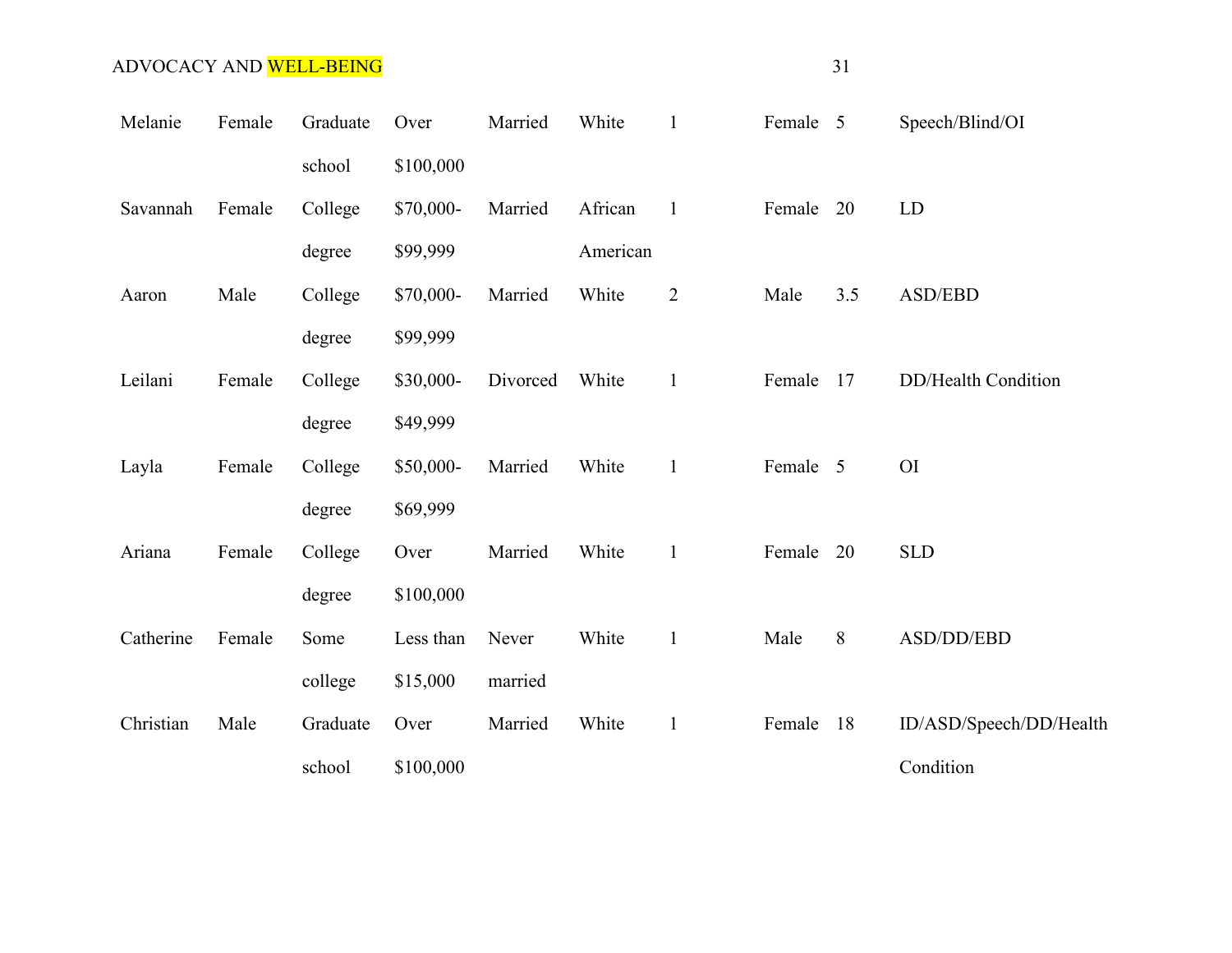| Melanie   | Female | Graduate | Over      | Married  | White    | $\mathbf{1}$   | Female 5  |     | Speech/Blind/OI            |
|-----------|--------|----------|-----------|----------|----------|----------------|-----------|-----|----------------------------|
|           |        | school   | \$100,000 |          |          |                |           |     |                            |
| Savannah  | Female | College  | \$70,000- | Married  | African  | $\mathbf{1}$   | Female 20 |     | LD                         |
|           |        | degree   | \$99,999  |          | American |                |           |     |                            |
| Aaron     | Male   | College  | \$70,000- | Married  | White    | $\overline{2}$ | Male      | 3.5 | ASD/EBD                    |
|           |        | degree   | \$99,999  |          |          |                |           |     |                            |
| Leilani   | Female | College  | \$30,000- | Divorced | White    | $\mathbf{1}$   | Female    | 17  | <b>DD/Health Condition</b> |
|           |        | degree   | \$49,999  |          |          |                |           |     |                            |
| Layla     | Female | College  | \$50,000- | Married  | White    | $\mathbf{1}$   | Female 5  |     | <b>OI</b>                  |
|           |        | degree   | \$69,999  |          |          |                |           |     |                            |
| Ariana    | Female | College  | Over      | Married  | White    | $\mathbf{1}$   | Female 20 |     | <b>SLD</b>                 |
|           |        | degree   | \$100,000 |          |          |                |           |     |                            |
| Catherine | Female | Some     | Less than | Never    | White    | $\mathbf{1}$   | Male      | 8   | ASD/DD/EBD                 |
|           |        | college  | \$15,000  | married  |          |                |           |     |                            |
| Christian | Male   | Graduate | Over      | Married  | White    | $\mathbf{1}$   | Female    | 18  | ID/ASD/Speech/DD/Health    |
|           |        | school   | \$100,000 |          |          |                |           |     | Condition                  |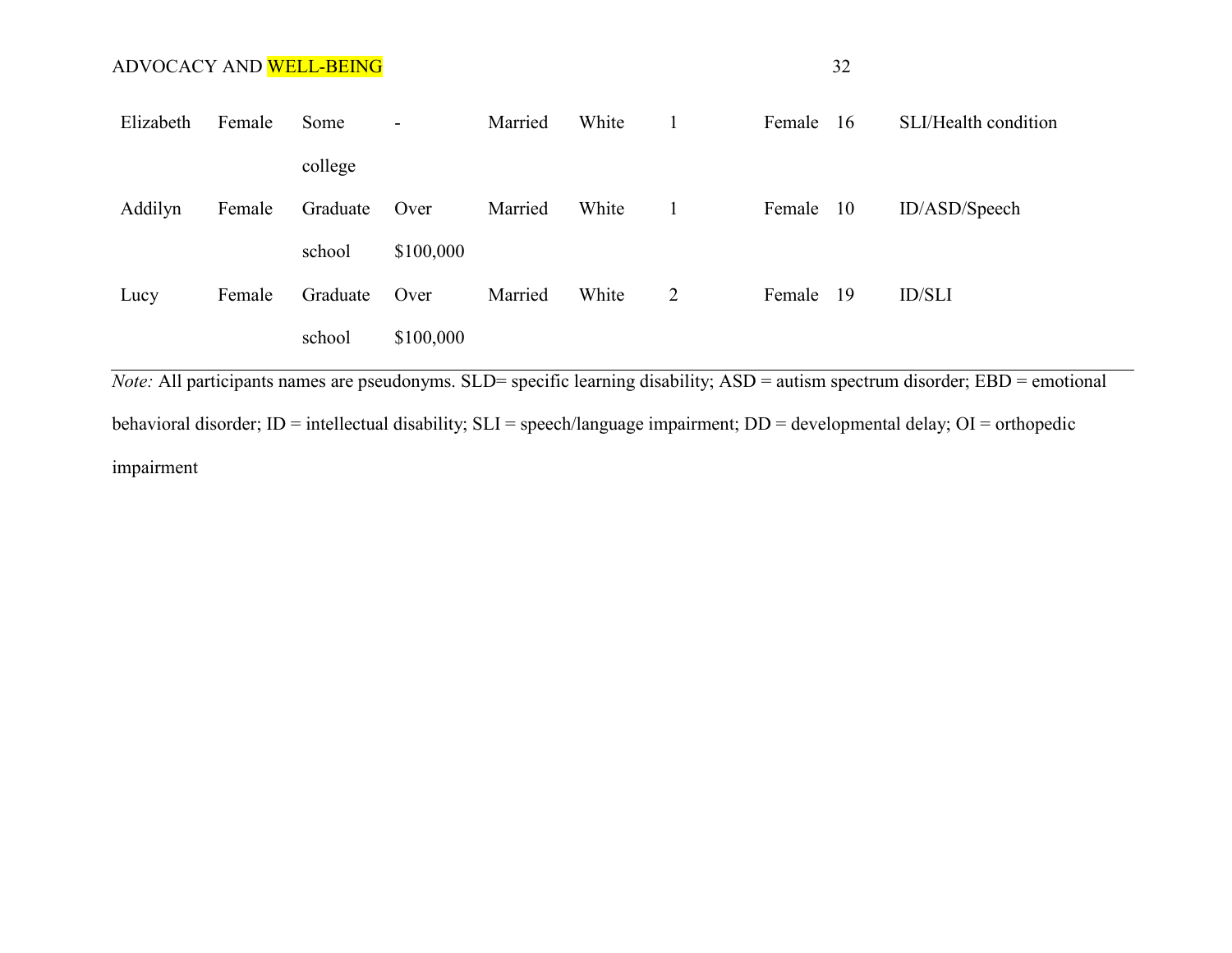| Elizabeth | Female | Some     | $\overline{\phantom{a}}$ | Married | White |   | Female | -16  | SLI/Health condition |
|-----------|--------|----------|--------------------------|---------|-------|---|--------|------|----------------------|
|           |        | college  |                          |         |       |   |        |      |                      |
| Addilyn   | Female | Graduate | Over                     | Married | White |   | Female | - 10 | ID/ASD/Speech        |
|           |        | school   | \$100,000                |         |       |   |        |      |                      |
| Lucy      | Female | Graduate | Over                     | Married | White | 2 | Female | -19  | <b>ID/SLI</b>        |
|           |        | school   | \$100,000                |         |       |   |        |      |                      |

*Note:* All participants names are pseudonyms. SLD= specific learning disability; ASD = autism spectrum disorder; EBD = emotional

behavioral disorder; ID = intellectual disability; SLI = speech/language impairment; DD = developmental delay; OI = orthopedic impairment